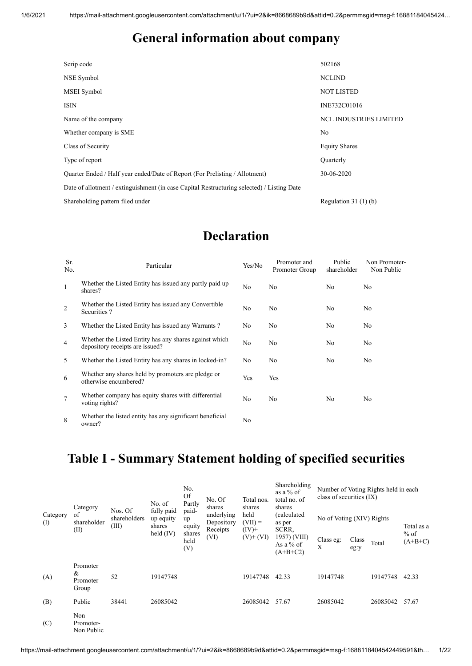#### **General information about company**

| Scrip code                                                                                 | 502168                        |
|--------------------------------------------------------------------------------------------|-------------------------------|
| NSE Symbol                                                                                 | <b>NCLIND</b>                 |
| MSEI Symbol                                                                                | <b>NOT LISTED</b>             |
| <b>ISIN</b>                                                                                | INE732C01016                  |
| Name of the company                                                                        | <b>NCL INDUSTRIES LIMITED</b> |
| Whether company is SME                                                                     | N <sub>o</sub>                |
| Class of Security                                                                          | <b>Equity Shares</b>          |
| Type of report                                                                             | Quarterly                     |
| Quarter Ended / Half year ended/Date of Report (For Prelisting / Allotment)                | 30-06-2020                    |
| Date of allotment / extinguishment (in case Capital Restructuring selected) / Listing Date |                               |
| Shareholding pattern filed under                                                           | Regulation $31(1)(b)$         |

#### **Declaration**

| Sr.<br>No.      | Particular                                                                                | Yes/No | Promoter and<br>Promoter Group | Public<br>shareholder | Non Promoter-<br>Non Public |
|-----------------|-------------------------------------------------------------------------------------------|--------|--------------------------------|-----------------------|-----------------------------|
| 1               | Whether the Listed Entity has issued any partly paid up<br>shares?                        | No     | No                             | No                    | No                          |
| $\overline{2}$  | Whether the Listed Entity has issued any Convertible<br>Securities?                       | No     | No                             | No                    | N <sub>o</sub>              |
| 3               | Whether the Listed Entity has issued any Warrants?                                        | No     | No                             | No                    | N <sub>o</sub>              |
| $\overline{4}$  | Whether the Listed Entity has any shares against which<br>depository receipts are issued? | No     | No                             | No                    | No                          |
| 5               | Whether the Listed Entity has any shares in locked-in?                                    | No     | No                             | No.                   | No                          |
| 6               | Whether any shares held by promoters are pledge or<br>otherwise encumbered?               | Yes    | Yes                            |                       |                             |
| $7\phantom{.0}$ | Whether company has equity shares with differential<br>voting rights?                     | No     | No                             | No                    | No                          |
| 8               | Whether the listed entity has any significant beneficial<br>owner?                        | No     |                                |                       |                             |

# **Table I - Summary Statement holding of specified securities**

|                 | Category                           | Nos. Of               | No. of<br>fully paid<br>up equity<br>shares<br>held $(IV)$ | No.<br><b>Of</b><br>Partly                     | No. Of<br>shares                             | Total nos.<br>shares          | Shareholding<br>as a % of<br>total no. of<br>shares |                           | Number of Voting Rights held in each<br>class of securities (IX) |          |                     |
|-----------------|------------------------------------|-----------------------|------------------------------------------------------------|------------------------------------------------|----------------------------------------------|-------------------------------|-----------------------------------------------------|---------------------------|------------------------------------------------------------------|----------|---------------------|
| Category<br>(I) | of<br>shareholder<br>(II)          | shareholders<br>(III) |                                                            | paid-<br>up<br>equity<br>shares<br>held<br>(V) | underlying<br>Depository<br>Receipts<br>(VI) | held<br>$(VII) =$<br>$(IV)$ + | (calculated<br>as per<br>SCRR,                      | No of Voting (XIV) Rights |                                                                  |          | Total as a          |
|                 |                                    |                       |                                                            |                                                |                                              | $(V)$ + $(VI)$                | 1957) (VIII)<br>As a % of<br>$(A+B+C2)$             | Class eg:<br>X            | Class<br>eg:y                                                    | Total    | $%$ of<br>$(A+B+C)$ |
| (A)             | Promoter<br>&<br>Promoter<br>Group | 52                    | 19147748                                                   |                                                |                                              | 19147748                      | 42.33                                               | 19147748                  |                                                                  | 19147748 | 42.33               |
| (B)             | Public                             | 38441                 | 26085042                                                   |                                                |                                              | 26085042                      | 57.67                                               | 26085042                  |                                                                  | 26085042 | 57.67               |
| (C)             | Non<br>Promoter-<br>Non Public     |                       |                                                            |                                                |                                              |                               |                                                     |                           |                                                                  |          |                     |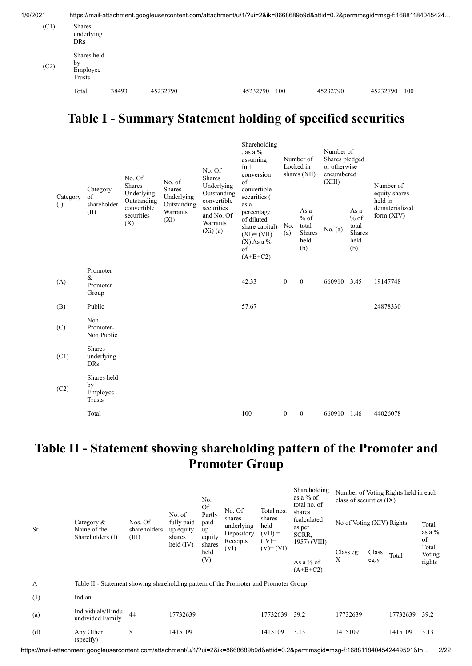| 1/6/2021 |                                         |       | https://mail-attachment.googleusercontent.com/attachment/u/1/?ui=2&ik=8668689b9d&attid=0.2&permmsgid=msg-f:16881184045424 |          |     |          |          |     |
|----------|-----------------------------------------|-------|---------------------------------------------------------------------------------------------------------------------------|----------|-----|----------|----------|-----|
| (C1)     | Shares<br>underlying<br>DRs.            |       |                                                                                                                           |          |     |          |          |     |
| (C2)     | Shares held<br>by<br>Employee<br>Trusts |       |                                                                                                                           |          |     |          |          |     |
|          | Total                                   | 38493 | 45232790                                                                                                                  | 45232790 | 100 | 45232790 | 45232790 | 100 |

### **Table I - Summary Statement holding of specified securities**

| Category | Category<br>$\sigma$ f<br>shareholder   | No. Of<br><b>Shares</b><br>Underlying           | No. of<br><b>Shares</b><br>Underlying | No. Of<br><b>Shares</b><br>Underlying<br>Outstanding                                                                                                                                                                                                                                | Shareholding<br>, as a $\%$<br>Number of<br>assuming<br>full<br>Locked in<br>shares $(XII)$<br>conversion<br>$\sigma$ f<br>convertible<br>securities ( |                     | Number of<br>Shares pledged<br>or otherwise<br>encumbered<br>(XIII) |                                | Number of<br>equity shares<br>held in |          |
|----------|-----------------------------------------|-------------------------------------------------|---------------------------------------|-------------------------------------------------------------------------------------------------------------------------------------------------------------------------------------------------------------------------------------------------------------------------------------|--------------------------------------------------------------------------------------------------------------------------------------------------------|---------------------|---------------------------------------------------------------------|--------------------------------|---------------------------------------|----------|
| (I)      | (II)                                    | Outstanding<br>convertible<br>securities<br>(X) | Outstanding<br>Warrants<br>$(X_i)$    | securities<br>As a<br>As a<br>percentage<br>and No. Of<br>$%$ of<br>$%$ of<br>of diluted<br>Warrants<br>total<br>total<br>No.<br>share capital)<br>No. (a)<br>(Xi)(a)<br>Shares<br>Shares<br>(a)<br>$(XI)=(VII)+$<br>held<br>held<br>$(X)$ As a %<br>(b)<br>(b)<br>of<br>$(A+B+C2)$ |                                                                                                                                                        | convertible<br>as a | 660910 3.45                                                         | dematerialized<br>form $(XIV)$ |                                       |          |
| (A)      | Promoter<br>&<br>Promoter<br>Group      |                                                 |                                       |                                                                                                                                                                                                                                                                                     | 42.33                                                                                                                                                  | $\mathbf{0}$        | $\mathbf{0}$                                                        |                                |                                       | 19147748 |
| (B)      | Public                                  |                                                 |                                       |                                                                                                                                                                                                                                                                                     | 57.67                                                                                                                                                  |                     |                                                                     |                                |                                       | 24878330 |
| (C)      | Non<br>Promoter-<br>Non Public          |                                                 |                                       |                                                                                                                                                                                                                                                                                     |                                                                                                                                                        |                     |                                                                     |                                |                                       |          |
| (C1)     | <b>Shares</b><br>underlying<br>DRs      |                                                 |                                       |                                                                                                                                                                                                                                                                                     |                                                                                                                                                        |                     |                                                                     |                                |                                       |          |
| (C2)     | Shares held<br>by<br>Employee<br>Trusts |                                                 |                                       |                                                                                                                                                                                                                                                                                     |                                                                                                                                                        |                     |                                                                     |                                |                                       |          |
|          | Total                                   |                                                 |                                       |                                                                                                                                                                                                                                                                                     | 100                                                                                                                                                    | $\mathbf{0}$        | $\mathbf{0}$                                                        | 660910 1.46                    |                                       | 44026078 |

## **Table II - Statement showing shareholding pattern of the Promoter and Promoter Group**

|              |                                                                                      |                                  | No. of<br>fully paid<br>up equity<br>shares<br>held $(IV)$ | No.<br>Of                                         |                                              | Total nos.                  | Shareholding<br>as a $%$ of<br>total no. of | Number of Voting Rights held in each<br>class of securities $(IX)$ |       |          |                                 |
|--------------|--------------------------------------------------------------------------------------|----------------------------------|------------------------------------------------------------|---------------------------------------------------|----------------------------------------------|-----------------------------|---------------------------------------------|--------------------------------------------------------------------|-------|----------|---------------------------------|
| Sr.          | Category $\&$<br>Name of the<br>Shareholders (I)                                     | Nos. Of<br>shareholders<br>(III) |                                                            | Partly<br>paid-<br>up<br>equity<br>shares<br>held | No. Of<br>shares<br>underlying<br>Depository | shares<br>held<br>$(VII) =$ | shares<br>(calculated<br>as per<br>SCRR,    | No of Voting (XIV) Rights                                          |       |          | Total<br>as a $\%$              |
|              |                                                                                      |                                  |                                                            |                                                   | Receipts<br>(VI)                             | $(IV)$ +<br>$(V)+(VI)$      | 1957) (VIII)                                | Class eg:                                                          | Class | Total    | of<br>Total<br>Voting<br>rights |
|              |                                                                                      |                                  |                                                            | (V)                                               |                                              |                             | As a $%$ of<br>$(A+B+C2)$                   | Χ                                                                  | eg:y  |          |                                 |
| $\mathbf{A}$ | Table II - Statement showing shareholding pattern of the Promoter and Promoter Group |                                  |                                                            |                                                   |                                              |                             |                                             |                                                                    |       |          |                                 |
| (1)          | Indian                                                                               |                                  |                                                            |                                                   |                                              |                             |                                             |                                                                    |       |          |                                 |
| (a)          | Individuals/Hindu<br>undivided Family                                                | 44                               | 17732639                                                   |                                                   |                                              | 17732639                    | 39.2                                        | 17732639                                                           |       | 17732639 | 39.2                            |
| (d)          | Any Other<br>(specify)                                                               | 8                                | 1415109                                                    |                                                   |                                              | 1415109                     | 3.13                                        | 1415109                                                            |       | 1415109  | 3.13                            |

https://mail-attachment.googleusercontent.com/attachment/u/1/?ui=2&ik=8668689b9d&attid=0.2&permmsgid=msg-f:1688118404542449591&th… 2/22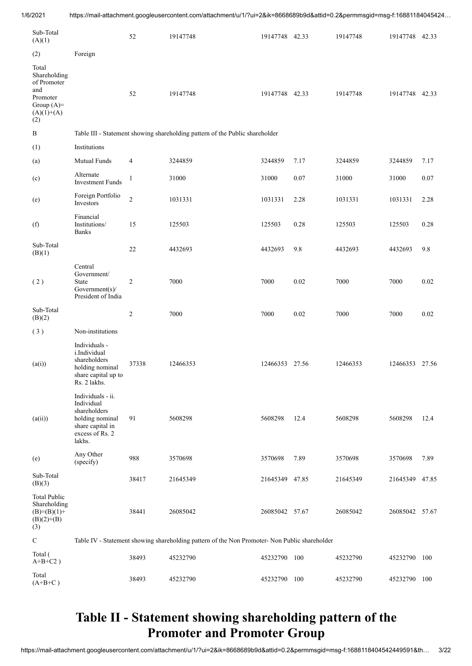| Sub-Total<br>(A)(1)                                                                            |                                                                                                                     | 52             | 19147748                                                                                      | 19147748 42.33 |          | 19147748 | 19147748 42.33 |       |
|------------------------------------------------------------------------------------------------|---------------------------------------------------------------------------------------------------------------------|----------------|-----------------------------------------------------------------------------------------------|----------------|----------|----------|----------------|-------|
| (2)                                                                                            | Foreign                                                                                                             |                |                                                                                               |                |          |          |                |       |
| Total<br>Shareholding<br>of Promoter<br>and<br>Promoter<br>Group $(A)=$<br>$(A)(1)+(A)$<br>(2) |                                                                                                                     | 52             | 19147748                                                                                      | 19147748 42.33 |          | 19147748 | 19147748 42.33 |       |
| $\, {\bf B}$                                                                                   |                                                                                                                     |                | Table III - Statement showing shareholding pattern of the Public shareholder                  |                |          |          |                |       |
| (1)                                                                                            | Institutions                                                                                                        |                |                                                                                               |                |          |          |                |       |
| (a)                                                                                            | Mutual Funds                                                                                                        | 4              | 3244859                                                                                       | 3244859        | 7.17     | 3244859  | 3244859        | 7.17  |
| (c)                                                                                            | Alternate<br><b>Investment Funds</b>                                                                                | $\mathbf{1}$   | 31000                                                                                         | 31000          | 0.07     | 31000    | 31000          | 0.07  |
| (e)                                                                                            | Foreign Portfolio<br>Investors                                                                                      | $\overline{c}$ | 1031331                                                                                       | 1031331        | 2.28     | 1031331  | 1031331        | 2.28  |
| (f)                                                                                            | Financial<br>Institutions/<br><b>Banks</b>                                                                          | 15             | 125503                                                                                        | 125503         | 0.28     | 125503   | 125503         | 0.28  |
| Sub-Total<br>(B)(1)                                                                            |                                                                                                                     | 22             | 4432693                                                                                       | 4432693        | 9.8      | 4432693  | 4432693        | 9.8   |
| (2)                                                                                            | Central<br>Government/<br>State<br>Government(s)/<br>President of India                                             | $\overline{c}$ | 7000                                                                                          | 7000           | $0.02\,$ | 7000     | 7000           | 0.02  |
| Sub-Total<br>(B)(2)                                                                            |                                                                                                                     | $\overline{2}$ | 7000                                                                                          | 7000           | 0.02     | 7000     | 7000           | 0.02  |
| (3)                                                                                            | Non-institutions                                                                                                    |                |                                                                                               |                |          |          |                |       |
| (a(i))                                                                                         | Individuals -<br>i.Individual<br>shareholders<br>holding nominal<br>share capital up to<br>Rs. 2 lakhs.             | 37338          | 12466353                                                                                      | 12466353 27.56 |          | 12466353 | 12466353 27.56 |       |
| (a(ii))                                                                                        | Individuals - ii.<br>Individual<br>shareholders<br>holding nominal<br>share capital in<br>excess of Rs. 2<br>lakhs. | 91             | 5608298                                                                                       | 5608298        | 12.4     | 5608298  | 5608298        | 12.4  |
| (e)                                                                                            | Any Other<br>(specify)                                                                                              | 988            | 3570698                                                                                       | 3570698        | 7.89     | 3570698  | 3570698        | 7.89  |
| Sub-Total<br>(B)(3)                                                                            |                                                                                                                     | 38417          | 21645349                                                                                      | 21645349 47.85 |          | 21645349 | 21645349       | 47.85 |
| <b>Total Public</b><br>Shareholding<br>$(B)=(B)(1)+$<br>$(B)(2)+(B)$<br>(3)                    |                                                                                                                     | 38441          | 26085042                                                                                      | 26085042 57.67 |          | 26085042 | 26085042 57.67 |       |
| ${\bf C}$                                                                                      |                                                                                                                     |                | Table IV - Statement showing shareholding pattern of the Non Promoter- Non Public shareholder |                |          |          |                |       |
| Total (<br>$A+B+C2$ )                                                                          |                                                                                                                     | 38493          | 45232790                                                                                      | 45232790 100   |          | 45232790 | 45232790       | 100   |
| Total<br>$(A+B+C)$                                                                             |                                                                                                                     | 38493          | 45232790                                                                                      | 45232790 100   |          | 45232790 | 45232790       | 100   |

#### **Table II - Statement showing shareholding pattern of the Promoter and Promoter Group**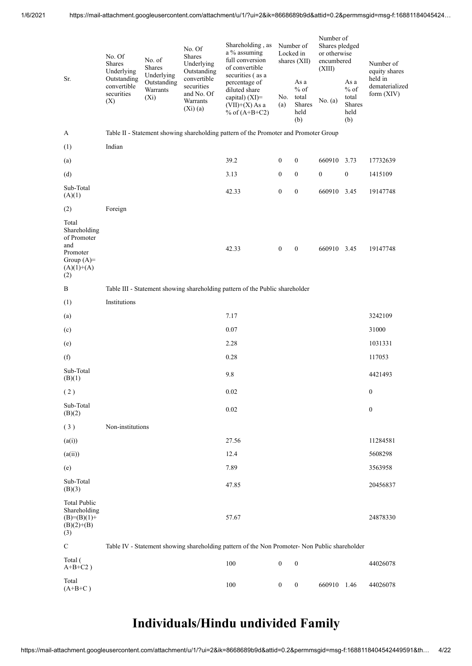| Sr.                                                                                            | No. Of<br>Shares<br>Underlying                  | No. of<br>Shares<br>Underlying     | No. Of<br><b>Shares</b><br>Underlying<br>Outstanding              | Shareholding, as<br>a % assuming<br>full conversion<br>of convertible<br>securities (as a<br>percentage of |                  | Number of<br>Locked in<br>shares $(XII)$         | Number of<br>Shares pledged<br>or otherwise<br>encumbered<br>(XIII) |                                                         | Number of<br>equity shares<br>held in |
|------------------------------------------------------------------------------------------------|-------------------------------------------------|------------------------------------|-------------------------------------------------------------------|------------------------------------------------------------------------------------------------------------|------------------|--------------------------------------------------|---------------------------------------------------------------------|---------------------------------------------------------|---------------------------------------|
|                                                                                                | Outstanding<br>convertible<br>securities<br>(X) | Outstanding<br>Warrants<br>$(X_i)$ | convertible<br>securities<br>and No. Of<br>Warrants<br>$(Xi)$ (a) | diluted share<br>capital) $(XI)=$<br>$(VII)+(X)$ As a<br>% of $(A+B+C2)$                                   | No.<br>(a)       | As a<br>$%$ of<br>total<br>Shares<br>held<br>(b) | No. (a)                                                             | As a<br>$%$ of<br>total<br><b>Shares</b><br>held<br>(b) | dematerialized<br>form $(XIV)$        |
| A                                                                                              |                                                 |                                    |                                                                   | Table II - Statement showing shareholding pattern of the Promoter and Promoter Group                       |                  |                                                  |                                                                     |                                                         |                                       |
| (1)                                                                                            | Indian                                          |                                    |                                                                   |                                                                                                            |                  |                                                  |                                                                     |                                                         |                                       |
| (a)                                                                                            |                                                 |                                    |                                                                   | 39.2                                                                                                       | $\boldsymbol{0}$ | $\boldsymbol{0}$                                 | 660910 3.73                                                         |                                                         | 17732639                              |
| (d)                                                                                            |                                                 |                                    |                                                                   | 3.13                                                                                                       | $\boldsymbol{0}$ | $\boldsymbol{0}$                                 | $\boldsymbol{0}$                                                    | $\boldsymbol{0}$                                        | 1415109                               |
| Sub-Total<br>(A)(1)                                                                            |                                                 |                                    |                                                                   | 42.33                                                                                                      | $\boldsymbol{0}$ | $\boldsymbol{0}$                                 | 660910                                                              | 3.45                                                    | 19147748                              |
| (2)                                                                                            | Foreign                                         |                                    |                                                                   |                                                                                                            |                  |                                                  |                                                                     |                                                         |                                       |
| Total<br>Shareholding<br>of Promoter<br>and<br>Promoter<br>Group $(A)=$<br>$(A)(1)+(A)$<br>(2) |                                                 |                                    |                                                                   | 42.33                                                                                                      | $\boldsymbol{0}$ | $\boldsymbol{0}$                                 | 660910 3.45                                                         |                                                         | 19147748                              |
| B                                                                                              |                                                 |                                    |                                                                   | Table III - Statement showing shareholding pattern of the Public shareholder                               |                  |                                                  |                                                                     |                                                         |                                       |
| (1)                                                                                            | Institutions                                    |                                    |                                                                   |                                                                                                            |                  |                                                  |                                                                     |                                                         |                                       |
| (a)                                                                                            |                                                 |                                    |                                                                   | 7.17                                                                                                       |                  |                                                  |                                                                     |                                                         | 3242109                               |
| (c)                                                                                            |                                                 |                                    |                                                                   | 0.07                                                                                                       |                  |                                                  |                                                                     |                                                         | 31000                                 |
| (e)                                                                                            |                                                 |                                    |                                                                   | 2.28                                                                                                       |                  |                                                  |                                                                     |                                                         | 1031331                               |
| (f)                                                                                            |                                                 |                                    |                                                                   | 0.28                                                                                                       |                  |                                                  |                                                                     |                                                         | 117053                                |
| Sub-Total<br>(B)(1)                                                                            |                                                 |                                    |                                                                   | 9.8                                                                                                        |                  |                                                  |                                                                     |                                                         | 4421493                               |
| (2)                                                                                            |                                                 |                                    |                                                                   | 0.02                                                                                                       |                  |                                                  |                                                                     |                                                         | $\mathbf{0}$                          |
| Sub-Total<br>(B)(2)                                                                            |                                                 |                                    |                                                                   | 0.02                                                                                                       |                  |                                                  |                                                                     |                                                         | $\boldsymbol{0}$                      |
| (3)                                                                                            | Non-institutions                                |                                    |                                                                   |                                                                                                            |                  |                                                  |                                                                     |                                                         |                                       |
| (a(i))                                                                                         |                                                 |                                    |                                                                   | 27.56                                                                                                      |                  |                                                  |                                                                     |                                                         | 11284581                              |
| (a(ii))                                                                                        |                                                 |                                    |                                                                   | 12.4                                                                                                       |                  |                                                  |                                                                     |                                                         | 5608298                               |
| (e)                                                                                            |                                                 |                                    |                                                                   | 7.89                                                                                                       |                  |                                                  |                                                                     |                                                         | 3563958                               |
| Sub-Total<br>(B)(3)                                                                            |                                                 |                                    |                                                                   | 47.85                                                                                                      |                  |                                                  |                                                                     |                                                         | 20456837                              |
| <b>Total Public</b><br>Shareholding<br>$(B)=(B)(1)+$<br>$(B)(2)+(B)$<br>(3)                    |                                                 |                                    |                                                                   | 57.67                                                                                                      |                  |                                                  |                                                                     |                                                         | 24878330                              |
| $\mathbf C$                                                                                    |                                                 |                                    |                                                                   | Table IV - Statement showing shareholding pattern of the Non Promoter- Non Public shareholder              |                  |                                                  |                                                                     |                                                         |                                       |
| Total (<br>$A+B+C2$ )                                                                          |                                                 |                                    |                                                                   | 100                                                                                                        | $\boldsymbol{0}$ | $\boldsymbol{0}$                                 |                                                                     |                                                         | 44026078                              |
| Total<br>$(A+B+C)$                                                                             |                                                 |                                    |                                                                   | 100                                                                                                        | $\boldsymbol{0}$ | $\boldsymbol{0}$                                 | 660910 1.46                                                         |                                                         | 44026078                              |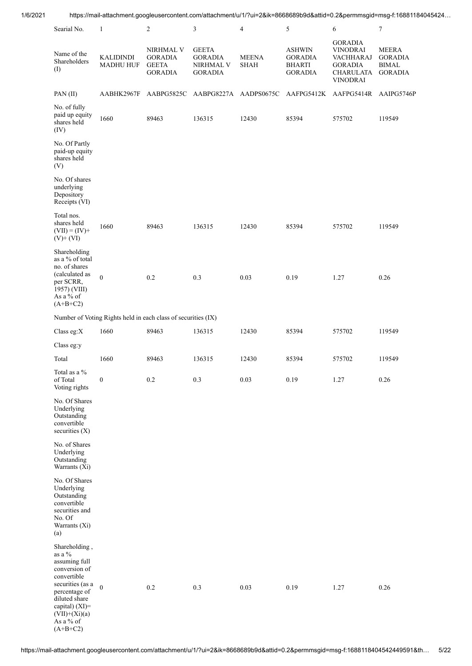| 1/6/2021 |                                                                                                                            |                                                               |                                                               |                                                               |                             |                                                                              |                                                                                                          | https://mail-attachment.googleusercontent.com/attachment/u/1/?ui=2&ik=8668689b9d&attid=0.2&permmsgid=msg-f:16881184045424 |
|----------|----------------------------------------------------------------------------------------------------------------------------|---------------------------------------------------------------|---------------------------------------------------------------|---------------------------------------------------------------|-----------------------------|------------------------------------------------------------------------------|----------------------------------------------------------------------------------------------------------|---------------------------------------------------------------------------------------------------------------------------|
|          | Searial No.                                                                                                                | $\mathbf{1}$                                                  | $\overline{c}$                                                | $\sqrt{3}$                                                    | $\overline{4}$              | 5                                                                            | $\epsilon$                                                                                               | $\boldsymbol{7}$                                                                                                          |
|          | Name of the<br>Shareholders<br>(1)                                                                                         | <b>KALIDINDI</b><br>MADHU HUF                                 | NIRHMAL V<br><b>GORADIA</b><br><b>GEETA</b><br><b>GORADIA</b> | <b>GEETA</b><br><b>GORADIA</b><br>NIRHMAL V<br><b>GORADIA</b> | <b>MEENA</b><br><b>SHAH</b> | <b>ASHWIN</b><br><b>GORADIA</b><br><b>BHARTI</b><br><b>GORADIA</b>           | <b>GORADIA</b><br><b>VINODRAI</b><br>VACHHARAJ<br><b>GORADIA</b><br>CHARULATA GORADIA<br><b>VINODRAI</b> | <b>MEERA</b><br>GORADIA<br><b>BIMAL</b>                                                                                   |
|          | PAN(II)                                                                                                                    |                                                               |                                                               |                                                               |                             | AABHK2967F AABPG5825C AABPG8227A AADPS0675C AAFPG5412K AAFPG5414R AAIPG5746P |                                                                                                          |                                                                                                                           |
|          | No. of fully<br>paid up equity<br>shares held<br>(IV)                                                                      | 1660                                                          | 89463                                                         | 136315                                                        | 12430                       | 85394                                                                        | 575702                                                                                                   | 119549                                                                                                                    |
|          | No. Of Partly<br>paid-up equity<br>shares held<br>(V)                                                                      |                                                               |                                                               |                                                               |                             |                                                                              |                                                                                                          |                                                                                                                           |
|          | No. Of shares<br>underlying<br>Depository<br>Receipts (VI)                                                                 |                                                               |                                                               |                                                               |                             |                                                                              |                                                                                                          |                                                                                                                           |
|          | Total nos.<br>shares held<br>$(VII) = (IV) +$<br>$(V)$ + $(VI)$                                                            | 1660                                                          | 89463                                                         | 136315                                                        | 12430                       | 85394                                                                        | 575702                                                                                                   | 119549                                                                                                                    |
|          | Shareholding<br>as a % of total<br>no. of shares<br>(calculated as<br>per SCRR,<br>1957) (VIII)<br>As a % of<br>$(A+B+C2)$ | $\boldsymbol{0}$                                              | 0.2                                                           | 0.3                                                           | 0.03                        | 0.19                                                                         | 1.27                                                                                                     | 0.26                                                                                                                      |
|          |                                                                                                                            | Number of Voting Rights held in each class of securities (IX) |                                                               |                                                               |                             |                                                                              |                                                                                                          |                                                                                                                           |
|          | Class eg:X                                                                                                                 | 1660                                                          | 89463                                                         | 136315                                                        | 12430                       | 85394                                                                        | 575702                                                                                                   | 119549                                                                                                                    |
|          | Class eg:y                                                                                                                 |                                                               |                                                               |                                                               |                             |                                                                              |                                                                                                          |                                                                                                                           |
|          | Total                                                                                                                      | 1660                                                          | 89463                                                         | 136315                                                        | 12430                       | 85394                                                                        | 575702                                                                                                   | 119549                                                                                                                    |
|          | Total as a $\%$<br>of Total<br>Voting rights                                                                               | $\boldsymbol{0}$                                              | 0.2                                                           | 0.3                                                           | 0.03                        | 0.19                                                                         | 1.27                                                                                                     | 0.26                                                                                                                      |
|          | No. Of Shares<br>Underlying<br>Outstanding<br>convertible<br>securities (X)                                                |                                                               |                                                               |                                                               |                             |                                                                              |                                                                                                          |                                                                                                                           |
|          | No. of Shares<br>Underlying<br>Outstanding<br>Warrants (Xi)                                                                |                                                               |                                                               |                                                               |                             |                                                                              |                                                                                                          |                                                                                                                           |
|          | No. Of Shares<br>Underlying<br>Outstanding<br>convertible<br>securities and<br>No. Of<br>Warrants (Xi)<br>(a)              |                                                               |                                                               |                                                               |                             |                                                                              |                                                                                                          |                                                                                                                           |
|          | Shareholding,<br>as a $\%$<br>assuming full<br>conversion of<br>convertible                                                |                                                               |                                                               |                                                               |                             |                                                                              |                                                                                                          |                                                                                                                           |
|          | securities (as a<br>percentage of<br>diluted share<br>capital) $(XI)=$<br>$(VII)+(Xi)(a)$<br>As a % of<br>$(A+B+C2)$       | $\overline{0}$                                                | 0.2                                                           | 0.3                                                           | 0.03                        | 0.19                                                                         | 1.27                                                                                                     | 0.26                                                                                                                      |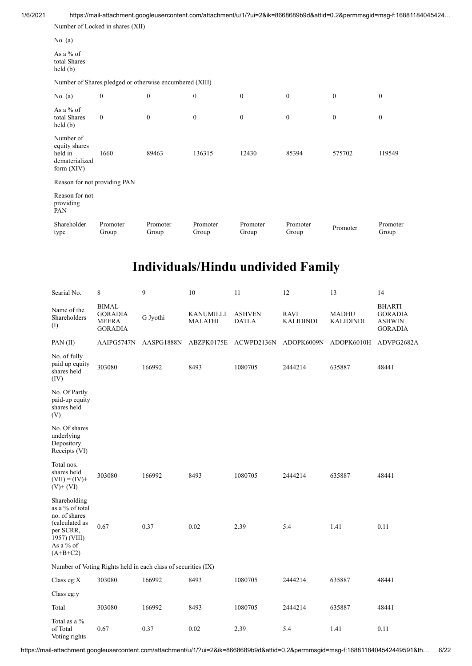1/6/2021 https://mail-attachment.googleusercontent.com/attachment/u/1/?ui=2&ik=8668689b9d&attid=0.2&permmsgid=msg-f:16881184045424…

|                                                                         | Number of Locked in shares (XII) |                                                         |                   |                   |                   |              |                   |
|-------------------------------------------------------------------------|----------------------------------|---------------------------------------------------------|-------------------|-------------------|-------------------|--------------|-------------------|
| No. $(a)$                                                               |                                  |                                                         |                   |                   |                   |              |                   |
| As a % of<br>total Shares<br>held(b)                                    |                                  |                                                         |                   |                   |                   |              |                   |
|                                                                         |                                  | Number of Shares pledged or otherwise encumbered (XIII) |                   |                   |                   |              |                   |
| No. $(a)$                                                               | $\boldsymbol{0}$                 | $\boldsymbol{0}$                                        | $\mathbf{0}$      | $\mathbf{0}$      | $\mathbf{0}$      | $\mathbf{0}$ | $\mathbf{0}$      |
| As a $%$ of<br>total Shares<br>held(b)                                  | $\mathbf{0}$                     | $\boldsymbol{0}$                                        | $\boldsymbol{0}$  | $\mathbf{0}$      | $\mathbf{0}$      | $\mathbf{0}$ | $\mathbf{0}$      |
| Number of<br>equity shares<br>held in<br>dematerialized<br>form $(XIV)$ | 1660                             | 89463                                                   | 136315            | 12430             | 85394             | 575702       | 119549            |
| Reason for not providing PAN                                            |                                  |                                                         |                   |                   |                   |              |                   |
| Reason for not<br>providing<br>PAN                                      |                                  |                                                         |                   |                   |                   |              |                   |
| Shareholder<br>type                                                     | Promoter<br>Group                | Promoter<br>Group                                       | Promoter<br>Group | Promoter<br>Group | Promoter<br>Group | Promoter     | Promoter<br>Group |

# **Individuals/Hindu undivided Family**

| Searial No.                                                                                                                | 8                                                                | 9                                                             | 10                          | 11                            | 12                              | 13                               | 14                                                                 |
|----------------------------------------------------------------------------------------------------------------------------|------------------------------------------------------------------|---------------------------------------------------------------|-----------------------------|-------------------------------|---------------------------------|----------------------------------|--------------------------------------------------------------------|
| Name of the<br>Shareholders<br>(I)                                                                                         | <b>BIMAL</b><br><b>GORADIA</b><br><b>MEERA</b><br><b>GORADIA</b> | G Jyothi                                                      | KANUMILLI<br><b>MALATHI</b> | <b>ASHVEN</b><br><b>DATLA</b> | <b>RAVI</b><br><b>KALIDINDI</b> | <b>MADHU</b><br><b>KALIDINDI</b> | <b>BHARTI</b><br><b>GORADIA</b><br><b>ASHWIN</b><br><b>GORADIA</b> |
| PAN(II)                                                                                                                    | AAIPG5747N                                                       | AASPG1888N                                                    | ABZPK0175E                  | ACWPD2136N                    | ADOPK6009N                      | ADOPK6010H                       | ADVPG2682A                                                         |
| No. of fully<br>paid up equity<br>shares held<br>(IV)                                                                      | 303080                                                           | 166992                                                        | 8493                        | 1080705                       | 2444214                         | 635887                           | 48441                                                              |
| No. Of Partly<br>paid-up equity<br>shares held<br>(V)                                                                      |                                                                  |                                                               |                             |                               |                                 |                                  |                                                                    |
| No. Of shares<br>underlying<br>Depository<br>Receipts (VI)                                                                 |                                                                  |                                                               |                             |                               |                                 |                                  |                                                                    |
| Total nos.<br>shares held<br>$(VII) = (IV) +$<br>$(V)$ + $(VI)$                                                            | 303080                                                           | 166992                                                        | 8493                        | 1080705                       | 2444214                         | 635887                           | 48441                                                              |
| Shareholding<br>as a % of total<br>no. of shares<br>(calculated as<br>per SCRR,<br>1957) (VIII)<br>As a % of<br>$(A+B+C2)$ | 0.67                                                             | 0.37                                                          | 0.02                        | 2.39                          | 5.4                             | 1.41                             | 0.11                                                               |
|                                                                                                                            |                                                                  | Number of Voting Rights held in each class of securities (IX) |                             |                               |                                 |                                  |                                                                    |
| Class eg: $X$                                                                                                              | 303080                                                           | 166992                                                        | 8493                        | 1080705                       | 2444214                         | 635887                           | 48441                                                              |
| Class eg:y                                                                                                                 |                                                                  |                                                               |                             |                               |                                 |                                  |                                                                    |
| Total                                                                                                                      | 303080                                                           | 166992                                                        | 8493                        | 1080705                       | 2444214                         | 635887                           | 48441                                                              |
| Total as a %<br>of Total<br>Voting rights                                                                                  | 0.67                                                             | 0.37                                                          | 0.02                        | 2.39                          | 5.4                             | 1.41                             | 0.11                                                               |

https://mail-attachment.googleusercontent.com/attachment/u/1/?ui=2&ik=8668689b9d&attid=0.2&permmsgid=msg-f:1688118404542449591&th… 6/22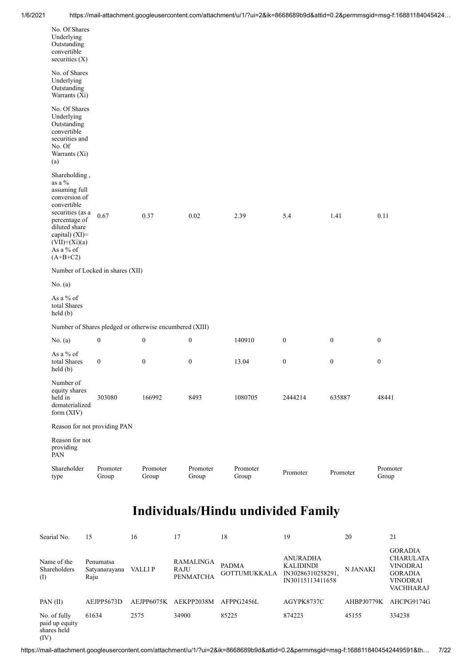| No. Of Shares<br>Underlying<br>Outstanding<br>convertible<br>securities $(X)$                                                                                                                    |                                  |                                                         |                   |                   |                  |                  |                   |
|--------------------------------------------------------------------------------------------------------------------------------------------------------------------------------------------------|----------------------------------|---------------------------------------------------------|-------------------|-------------------|------------------|------------------|-------------------|
| No. of Shares<br>Underlying<br>Outstanding<br>Warrants (Xi)                                                                                                                                      |                                  |                                                         |                   |                   |                  |                  |                   |
| No. Of Shares<br>Underlying<br>Outstanding<br>convertible<br>securities and<br>No. Of<br>Warrants (Xi)<br>(a)                                                                                    |                                  |                                                         |                   |                   |                  |                  |                   |
| Shareholding,<br>as a $%$<br>assuming full<br>conversion of<br>convertible<br>securities (as a<br>percentage of<br>diluted share<br>capital) (XI)=<br>$(VII)+(Xi)(a)$<br>As a % of<br>$(A+B+C2)$ | 0.67                             | 0.37                                                    | $0.02\,$          | 2.39              | 5.4              | 1.41             | 0.11              |
|                                                                                                                                                                                                  | Number of Locked in shares (XII) |                                                         |                   |                   |                  |                  |                   |
| No. $(a)$                                                                                                                                                                                        |                                  |                                                         |                   |                   |                  |                  |                   |
| As a % of<br>total Shares<br>held(b)                                                                                                                                                             |                                  |                                                         |                   |                   |                  |                  |                   |
|                                                                                                                                                                                                  |                                  | Number of Shares pledged or otherwise encumbered (XIII) |                   |                   |                  |                  |                   |
| No. $(a)$                                                                                                                                                                                        | $\boldsymbol{0}$                 | $\boldsymbol{0}$                                        | $\boldsymbol{0}$  | 140910            | $\boldsymbol{0}$ | $\boldsymbol{0}$ | $\boldsymbol{0}$  |
| As a % of<br>total Shares<br>held (b)                                                                                                                                                            | $\boldsymbol{0}$                 | $\boldsymbol{0}$                                        | $\boldsymbol{0}$  | 13.04             | $\boldsymbol{0}$ | $\boldsymbol{0}$ | $\boldsymbol{0}$  |
| Number of<br>equity shares<br>held in<br>dematerialized<br>form (XIV)                                                                                                                            | 303080                           | 166992                                                  | 8493              | 1080705           | 2444214          | 635887           | 48441             |
| Reason for not providing PAN                                                                                                                                                                     |                                  |                                                         |                   |                   |                  |                  |                   |
| Reason for not<br>providing<br>PAN                                                                                                                                                               |                                  |                                                         |                   |                   |                  |                  |                   |
| Shareholder<br>type                                                                                                                                                                              | Promoter<br>Group                | Promoter<br>Group                                       | Promoter<br>Group | Promoter<br>Group | Promoter         | Promoter         | Promoter<br>Group |

| Searial No.                                           | 15                                 | 16         | 17                                           | 18                                  | 19                                                                           | 20         | 21                                                                                                             |
|-------------------------------------------------------|------------------------------------|------------|----------------------------------------------|-------------------------------------|------------------------------------------------------------------------------|------------|----------------------------------------------------------------------------------------------------------------|
| Name of the<br>Shareholders<br>(1)                    | Penumatsa<br>Satyanarayana<br>Raju | VALLI P    | <b>RAMALINGA</b><br>RAJU<br><b>PENMATCHA</b> | <b>PADMA</b><br><b>GOTTUMUKKALA</b> | <b>ANURADHA</b><br><b>KALIDINDI</b><br>IN30286310258291,<br>IN30115113411658 | N JANAKI   | <b>GORADIA</b><br><b>CHARULATA</b><br><b>VINODRAI</b><br><b>GORADIA</b><br><b>VINODRAI</b><br><b>VACHHARAJ</b> |
| PAN $(II)$                                            | AEJPP5673D                         | AEJPP6075K | AEKPP2038M                                   | AFPPG2456L                          | AGYPK8737C                                                                   | AHBPJ0779K | AHCPG9174G                                                                                                     |
| No. of fully<br>paid up equity<br>shares held<br>(IV) | 61634                              | 2575       | 34900                                        | 85225                               | 874223                                                                       | 45155      | 334238                                                                                                         |

https://mail-attachment.googleusercontent.com/attachment/u/1/?ui=2&ik=8668689b9d&attid=0.2&permmsgid=msg-f:1688118404542449591&th… 7/22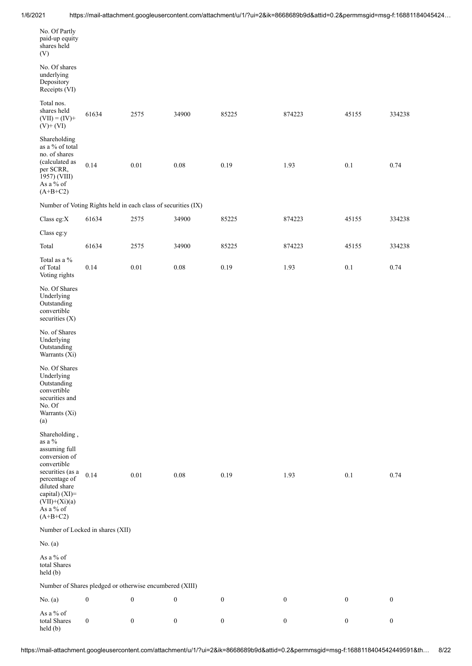| No. Of Partly<br>paid-up equity<br>shares held                                                                             |                                                               |                  |                  |                  |                  |                  |                  |
|----------------------------------------------------------------------------------------------------------------------------|---------------------------------------------------------------|------------------|------------------|------------------|------------------|------------------|------------------|
| (V)                                                                                                                        |                                                               |                  |                  |                  |                  |                  |                  |
| No. Of shares<br>underlying<br>Depository<br>Receipts (VI)                                                                 |                                                               |                  |                  |                  |                  |                  |                  |
| Total nos.<br>shares held<br>$(VII) = (IV) +$<br>$(V)+(VI)$                                                                | 61634                                                         | 2575             | 34900            | 85225            | 874223           | 45155            | 334238           |
| Shareholding<br>as a % of total<br>no. of shares<br>(calculated as<br>per SCRR,<br>1957) (VIII)<br>As a % of<br>$(A+B+C2)$ | 0.14                                                          | 0.01             | $0.08\,$         | 0.19             | 1.93             | 0.1              | 0.74             |
|                                                                                                                            | Number of Voting Rights held in each class of securities (IX) |                  |                  |                  |                  |                  |                  |
| Class eg:X                                                                                                                 | 61634                                                         | 2575             | 34900            | 85225            | 874223           | 45155            | 334238           |
| Class eg:y                                                                                                                 |                                                               |                  |                  |                  |                  |                  |                  |
| Total                                                                                                                      | 61634                                                         | 2575             | 34900            | 85225            | 874223           | 45155            | 334238           |
| Total as a %<br>of Total<br>Voting rights                                                                                  | 0.14                                                          | $0.01\,$         | $0.08\,$         | 0.19             | 1.93             | $0.1\,$          | 0.74             |
| No. Of Shares<br>Underlying<br>Outstanding<br>convertible<br>securities $(X)$                                              |                                                               |                  |                  |                  |                  |                  |                  |
| No. of Shares<br>Underlying<br>Outstanding<br>Warrants (Xi)                                                                |                                                               |                  |                  |                  |                  |                  |                  |
| No. Of Shares<br>Underlying<br>Outstanding<br>convertible<br>securities and<br>No. Of<br>Warrants (Xi)<br>(a)              |                                                               |                  |                  |                  |                  |                  |                  |
| Shareholding,<br>as a %<br>assuming full<br>conversion of<br>convertible                                                   |                                                               |                  |                  |                  |                  |                  |                  |
| securities (as a<br>percentage of<br>diluted share<br>capital) (XI)=<br>$(VII)+(Xi)(a)$<br>As a $\%$ of<br>$(A+B+C2)$      | 0.14                                                          | 0.01             | $0.08\,$         | 0.19             | 1.93             | 0.1              | 0.74             |
|                                                                                                                            | Number of Locked in shares (XII)                              |                  |                  |                  |                  |                  |                  |
| No. (a)                                                                                                                    |                                                               |                  |                  |                  |                  |                  |                  |
| As a % of<br>total Shares<br>$\text{held}(\text{b})$                                                                       |                                                               |                  |                  |                  |                  |                  |                  |
|                                                                                                                            | Number of Shares pledged or otherwise encumbered (XIII)       |                  |                  |                  |                  |                  |                  |
| No. (a)                                                                                                                    | $\boldsymbol{0}$                                              | $\boldsymbol{0}$ | $\boldsymbol{0}$ | $\boldsymbol{0}$ | $\boldsymbol{0}$ | $\boldsymbol{0}$ | $\boldsymbol{0}$ |
| As a $\%$ of<br>total Shares<br>held (b)                                                                                   | $\boldsymbol{0}$                                              | $\boldsymbol{0}$ | $\boldsymbol{0}$ | $\boldsymbol{0}$ | $\boldsymbol{0}$ | $\boldsymbol{0}$ | $\boldsymbol{0}$ |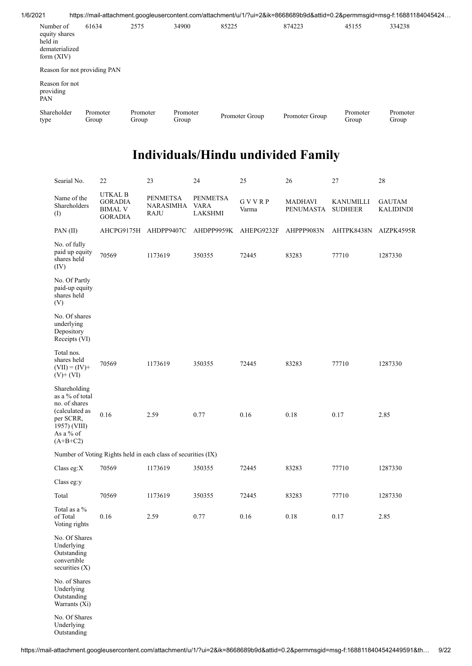| 1/6/2021 |                                                                                                         |                   |                   |                   |                |                |                   | https://mail-attachment.googleusercontent.com/attachment/u/1/?ui=2&ik=8668689b9d&attid=0.2&permmsgid=msg-f:16881184045424 |
|----------|---------------------------------------------------------------------------------------------------------|-------------------|-------------------|-------------------|----------------|----------------|-------------------|---------------------------------------------------------------------------------------------------------------------------|
|          | Number of<br>equity shares<br>held in<br>dematerialized<br>form $(XIV)$<br>Reason for not providing PAN | 61634             | 2575              | 34900             | 85225          | 874223         | 45155             | 334238                                                                                                                    |
|          | Reason for not<br>providing<br>PAN                                                                      |                   |                   |                   |                |                |                   |                                                                                                                           |
|          | Shareholder<br>type                                                                                     | Promoter<br>Group | Promoter<br>Group | Promoter<br>Group | Promoter Group | Promoter Group | Promoter<br>Group | Promoter<br>Group                                                                                                         |

| Searial No.                                                                                                                | 22                                                            | 23                                          | 24                                        | 25             | 26                          | 27                          | 28                                |
|----------------------------------------------------------------------------------------------------------------------------|---------------------------------------------------------------|---------------------------------------------|-------------------------------------------|----------------|-----------------------------|-----------------------------|-----------------------------------|
| Name of the<br>Shareholders<br>(I)                                                                                         | UTKAL B<br><b>GORADIA</b><br><b>BIMAL V</b><br><b>GORADIA</b> | <b>PENMETSA</b><br><b>NARASIMHA</b><br>RAJU | <b>PENMETSA</b><br><b>VARA</b><br>LAKSHMI | GVVRP<br>Varma | <b>MADHAVI</b><br>PENUMASTA | KANUMILLI<br><b>SUDHEER</b> | <b>GAUTAM</b><br><b>KALIDINDI</b> |
| PAN(II)                                                                                                                    | AHCPG9175H                                                    | AHDPP9407C                                  | AHDPP9959K                                | AHEPG9232F     | AHPPP9083N                  | AHTPK8438N                  | AIZPK4595R                        |
| No. of fully<br>paid up equity<br>shares held<br>(IV)                                                                      | 70569                                                         | 1173619                                     | 350355                                    | 72445          | 83283                       | 77710                       | 1287330                           |
| No. Of Partly<br>paid-up equity<br>shares held<br>(V)                                                                      |                                                               |                                             |                                           |                |                             |                             |                                   |
| No. Of shares<br>underlying<br>Depository<br>Receipts (VI)                                                                 |                                                               |                                             |                                           |                |                             |                             |                                   |
| Total nos.<br>shares held<br>$(VII) = (IV) +$<br>$(V)+(VI)$                                                                | 70569                                                         | 1173619                                     | 350355                                    | 72445          | 83283                       | 77710                       | 1287330                           |
| Shareholding<br>as a % of total<br>no. of shares<br>(calculated as<br>per SCRR,<br>1957) (VIII)<br>As a % of<br>$(A+B+C2)$ | 0.16                                                          | 2.59                                        | 0.77                                      | 0.16           | 0.18                        | 0.17                        | 2.85                              |
|                                                                                                                            | Number of Voting Rights held in each class of securities (IX) |                                             |                                           |                |                             |                             |                                   |
| Class eg:X                                                                                                                 | 70569                                                         | 1173619                                     | 350355                                    | 72445          | 83283                       | 77710                       | 1287330                           |
| Class eg:y                                                                                                                 |                                                               |                                             |                                           |                |                             |                             |                                   |
| Total                                                                                                                      | 70569                                                         | 1173619                                     | 350355                                    | 72445          | 83283                       | 77710                       | 1287330                           |
| Total as a %<br>of Total<br>Voting rights                                                                                  | 0.16                                                          | 2.59                                        | 0.77                                      | 0.16           | 0.18                        | 0.17                        | 2.85                              |
| No. Of Shares<br>Underlying<br>Outstanding<br>convertible<br>securities $(X)$                                              |                                                               |                                             |                                           |                |                             |                             |                                   |
| No. of Shares<br>Underlying<br>Outstanding<br>Warrants (Xi)                                                                |                                                               |                                             |                                           |                |                             |                             |                                   |
| No. Of Shares<br>Underlying                                                                                                |                                                               |                                             |                                           |                |                             |                             |                                   |

Underlying Outstanding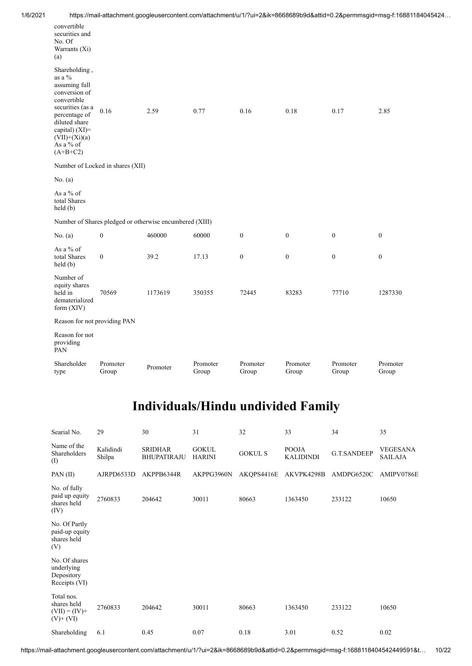| 1/6/2021 | https://mail-attachment.googleusercontent.com/attachment/u/1/?ui=2&ik=8668689b9d&attid=0.2&permmsgid=msg-f:16881184045424… |
|----------|----------------------------------------------------------------------------------------------------------------------------|
|          |                                                                                                                            |

|                                                                                                                                                                                                   | https://mail-attachment.googleusercontent.com/attachment/u/1/?ui=2&ik=8668689b9d&attid=0.2&permmsgid=msg-f:16881 |          |                   |                   |                   |                   |                   |
|---------------------------------------------------------------------------------------------------------------------------------------------------------------------------------------------------|------------------------------------------------------------------------------------------------------------------|----------|-------------------|-------------------|-------------------|-------------------|-------------------|
| convertible<br>securities and<br>No. Of<br>Warrants (Xi)<br>(a)                                                                                                                                   |                                                                                                                  |          |                   |                   |                   |                   |                   |
| Shareholding,<br>as a $\%$<br>assuming full<br>conversion of<br>convertible<br>securities (as a<br>percentage of<br>diluted share<br>capital) (XI)=<br>$(VII)+(Xi)(a)$<br>As a % of<br>$(A+B+C2)$ | 0.16                                                                                                             | 2.59     | 0.77              | 0.16              | 0.18              | 0.17              | 2.85              |
|                                                                                                                                                                                                   | Number of Locked in shares (XII)                                                                                 |          |                   |                   |                   |                   |                   |
| No. (a)                                                                                                                                                                                           |                                                                                                                  |          |                   |                   |                   |                   |                   |
| As a % of<br>total Shares<br>held(b)                                                                                                                                                              |                                                                                                                  |          |                   |                   |                   |                   |                   |
|                                                                                                                                                                                                   | Number of Shares pledged or otherwise encumbered (XIII)                                                          |          |                   |                   |                   |                   |                   |
| No. (a)                                                                                                                                                                                           | $\boldsymbol{0}$                                                                                                 | 460000   | 60000             | $\boldsymbol{0}$  | $\boldsymbol{0}$  | $\boldsymbol{0}$  | $\boldsymbol{0}$  |
| As a $%$ of<br>total Shares<br>held(b)                                                                                                                                                            | $\boldsymbol{0}$                                                                                                 | 39.2     | 17.13             | $\boldsymbol{0}$  | $\boldsymbol{0}$  | $\boldsymbol{0}$  | $\boldsymbol{0}$  |
| Number of<br>equity shares<br>held in<br>dematerialized<br>form (XIV)                                                                                                                             | 70569                                                                                                            | 1173619  | 350355            | 72445             | 83283             | 77710             | 1287330           |
| Reason for not providing PAN                                                                                                                                                                      |                                                                                                                  |          |                   |                   |                   |                   |                   |
| Reason for not<br>providing<br>PAN                                                                                                                                                                |                                                                                                                  |          |                   |                   |                   |                   |                   |
| Shareholder<br>type                                                                                                                                                                               | Promoter<br>Group                                                                                                | Promoter | Promoter<br>Group | Promoter<br>Group | Promoter<br>Group | Promoter<br>Group | Promoter<br>Group |
|                                                                                                                                                                                                   |                                                                                                                  |          |                   |                   |                   |                   |                   |

| Searial No.                                                     | 29                  | 30                                   | 31                            | 32             | 33                               | 34                 | 35                         |
|-----------------------------------------------------------------|---------------------|--------------------------------------|-------------------------------|----------------|----------------------------------|--------------------|----------------------------|
| Name of the<br>Shareholders<br>(I)                              | Kalidindi<br>Shilpa | <b>SRIDHAR</b><br><b>BHUPATIRAJU</b> | <b>GOKUL</b><br><b>HARINI</b> | <b>GOKUL S</b> | <b>POOJA</b><br><b>KALIDINDI</b> | <b>G.T.SANDEEP</b> | VEGESANA<br><b>SAILAJA</b> |
| PAN(II)                                                         | AJRPD6533D          | AKPPB6344R                           | AKPPG3960N                    | AKQPS4416E     | AKVPK4298B                       | AMDPG6520C         | AMIPV0786E                 |
| No. of fully<br>paid up equity<br>shares held<br>(IV)           | 2760833             | 204642                               | 30011                         | 80663          | 1363450                          | 233122             | 10650                      |
| No. Of Partly<br>paid-up equity<br>shares held<br>(V)           |                     |                                      |                               |                |                                  |                    |                            |
| No. Of shares<br>underlying<br>Depository<br>Receipts (VI)      |                     |                                      |                               |                |                                  |                    |                            |
| Total nos.<br>shares held<br>$(VII) = (IV) +$<br>$(V)$ + $(VI)$ | 2760833             | 204642                               | 30011                         | 80663          | 1363450                          | 233122             | 10650                      |
| Shareholding                                                    | 6.1                 | 0.45                                 | 0.07                          | 0.18           | 3.01                             | 0.52               | 0.02                       |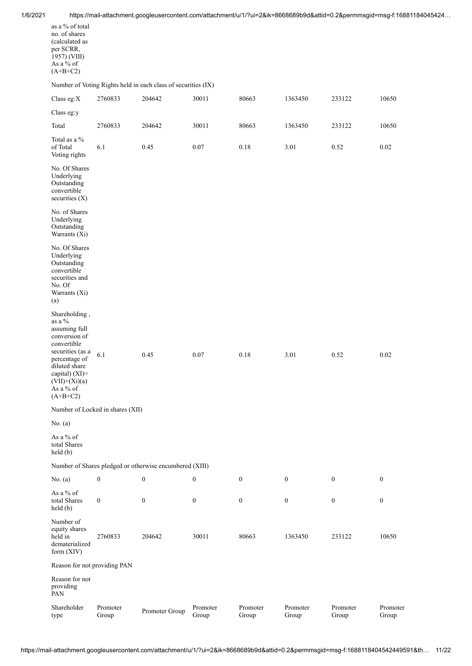| as a % of total<br>no. of shares<br>(calculated as<br>per SCRR,<br>1957) (VIII)<br>As a % of<br>$(A+B+C2)$                                                                                        |                                  |                                                               |                   |                   |                   |                   |                   |
|---------------------------------------------------------------------------------------------------------------------------------------------------------------------------------------------------|----------------------------------|---------------------------------------------------------------|-------------------|-------------------|-------------------|-------------------|-------------------|
|                                                                                                                                                                                                   |                                  | Number of Voting Rights held in each class of securities (IX) |                   |                   |                   |                   |                   |
| Class eg:X                                                                                                                                                                                        | 2760833                          | 204642                                                        | 30011             | 80663             | 1363450           | 233122            | 10650             |
| Class eg:y                                                                                                                                                                                        |                                  |                                                               |                   |                   |                   |                   |                   |
| Total                                                                                                                                                                                             | 2760833                          | 204642                                                        | 30011             | 80663             | 1363450           | 233122            | 10650             |
| Total as a %<br>of Total<br>Voting rights                                                                                                                                                         | 6.1                              | 0.45                                                          | 0.07              | $0.18\,$          | 3.01              | 0.52              | 0.02              |
| No. Of Shares<br>Underlying<br>Outstanding<br>convertible<br>securities $(X)$                                                                                                                     |                                  |                                                               |                   |                   |                   |                   |                   |
| No. of Shares<br>Underlying<br>Outstanding<br>Warrants (Xi)                                                                                                                                       |                                  |                                                               |                   |                   |                   |                   |                   |
| No. Of Shares<br>Underlying<br>Outstanding<br>convertible<br>securities and<br>No. Of<br>Warrants (Xi)<br>(a)                                                                                     |                                  |                                                               |                   |                   |                   |                   |                   |
| Shareholding,<br>as a $\%$<br>assuming full<br>conversion of<br>convertible<br>securities (as a<br>percentage of<br>diluted share<br>capital) (XI)=<br>$(VII)+(Xi)(a)$<br>As a % of<br>$(A+B+C2)$ | 6.1                              | 0.45                                                          | 0.07              | 0.18              | 3.01              | 0.52              | 0.02              |
|                                                                                                                                                                                                   | Number of Locked in shares (XII) |                                                               |                   |                   |                   |                   |                   |
| No. $(a)$                                                                                                                                                                                         |                                  |                                                               |                   |                   |                   |                   |                   |
| As a $%$ of<br>total Shares<br>held (b)                                                                                                                                                           |                                  |                                                               |                   |                   |                   |                   |                   |
|                                                                                                                                                                                                   |                                  | Number of Shares pledged or otherwise encumbered (XIII)       |                   |                   |                   |                   |                   |
| No. $(a)$                                                                                                                                                                                         | $\boldsymbol{0}$                 | $\boldsymbol{0}$                                              | $\boldsymbol{0}$  | $\boldsymbol{0}$  | $\boldsymbol{0}$  | $\boldsymbol{0}$  | $\boldsymbol{0}$  |
| As a % of<br>total Shares<br>held(b)                                                                                                                                                              | $\boldsymbol{0}$                 | $\boldsymbol{0}$                                              | $\boldsymbol{0}$  | $\boldsymbol{0}$  | $\boldsymbol{0}$  | $\boldsymbol{0}$  | $\boldsymbol{0}$  |
| Number of<br>equity shares<br>held in<br>dematerialized<br>form (XIV)                                                                                                                             | 2760833                          | 204642                                                        | 30011             | 80663             | 1363450           | 233122            | 10650             |
| Reason for not providing PAN                                                                                                                                                                      |                                  |                                                               |                   |                   |                   |                   |                   |
| Reason for not<br>providing<br>PAN                                                                                                                                                                |                                  |                                                               |                   |                   |                   |                   |                   |
| Shareholder<br>type                                                                                                                                                                               | Promoter<br>Group                | Promoter Group                                                | Promoter<br>Group | Promoter<br>Group | Promoter<br>Group | Promoter<br>Group | Promoter<br>Group |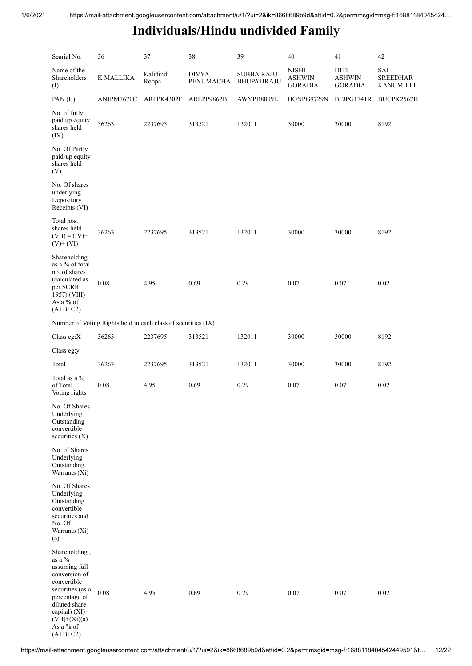| Searial No.                                                                                                                                                                                         | 36                                                            | 37                 | 38                        | 39                               | 40                                              | 41                                      | 42                                         |
|-----------------------------------------------------------------------------------------------------------------------------------------------------------------------------------------------------|---------------------------------------------------------------|--------------------|---------------------------|----------------------------------|-------------------------------------------------|-----------------------------------------|--------------------------------------------|
| Name of the<br>Shareholders<br>(I)                                                                                                                                                                  | K MALLIKA                                                     | Kalidindi<br>Roopa | <b>DIVYA</b><br>PENUMACHA | <b>SUBBA RAJU</b><br>BHUPATIRAJU | <b>NISHI</b><br><b>ASHWIN</b><br><b>GORADIA</b> | DITI<br><b>ASHWIN</b><br><b>GORADIA</b> | SAI<br><b>SREEDHAR</b><br><b>KANUMILLI</b> |
| PAN(II)                                                                                                                                                                                             | ANJPM7670C                                                    | ARFPK4302F         | ARLPP9862B                | AWYPB8809L                       | BONPG9729N                                      | BFJPG1741R                              | BUCPK2567H                                 |
| No. of fully<br>paid up equity<br>shares held<br>(IV)                                                                                                                                               | 36263                                                         | 2237695            | 313521                    | 132011                           | 30000                                           | 30000                                   | 8192                                       |
| No. Of Partly<br>paid-up equity<br>shares held<br>(V)                                                                                                                                               |                                                               |                    |                           |                                  |                                                 |                                         |                                            |
| No. Of shares<br>underlying<br>Depository<br>Receipts (VI)                                                                                                                                          |                                                               |                    |                           |                                  |                                                 |                                         |                                            |
| Total nos.<br>shares held<br>$(VII) = (IV) +$<br>$(V)+(VI)$                                                                                                                                         | 36263                                                         | 2237695            | 313521                    | 132011                           | 30000                                           | 30000                                   | 8192                                       |
| Shareholding<br>as a % of total<br>no. of shares<br>(calculated as<br>per SCRR,<br>1957) (VIII)<br>As a % of<br>$(A+B+C2)$                                                                          | 0.08                                                          | 4.95               | 0.69                      | 0.29                             | 0.07                                            | 0.07                                    | 0.02                                       |
|                                                                                                                                                                                                     | Number of Voting Rights held in each class of securities (IX) |                    |                           |                                  |                                                 |                                         |                                            |
| Class eg: $X$                                                                                                                                                                                       | 36263                                                         | 2237695            | 313521                    | 132011                           | 30000                                           | 30000                                   | 8192                                       |
| Class eg:y                                                                                                                                                                                          |                                                               |                    |                           |                                  |                                                 |                                         |                                            |
| Total                                                                                                                                                                                               | 36263                                                         | 2237695            | 313521                    | 132011                           | 30000                                           | 30000                                   | 8192                                       |
| Total as a %<br>of Total<br>Voting rights                                                                                                                                                           | $0.08\,$                                                      | 4.95               | 0.69                      | 0.29                             | 0.07                                            | 0.07                                    | 0.02                                       |
| No. Of Shares<br>Underlying<br>Outstanding<br>convertible<br>securities $(X)$                                                                                                                       |                                                               |                    |                           |                                  |                                                 |                                         |                                            |
| No. of Shares<br>Underlying<br>Outstanding<br>Warrants (Xi)                                                                                                                                         |                                                               |                    |                           |                                  |                                                 |                                         |                                            |
| No. Of Shares<br>Underlying<br>Outstanding<br>convertible<br>securities and<br>No. Of<br>Warrants (Xi)<br>(a)                                                                                       |                                                               |                    |                           |                                  |                                                 |                                         |                                            |
| Shareholding,<br>as a $\%$<br>assuming full<br>conversion of<br>convertible<br>securities (as a<br>percentage of<br>diluted share<br>capital) $(XI)=$<br>$(VII)+(Xi)(a)$<br>As a % of<br>$(A+B+C2)$ | 0.08                                                          | 4.95               | 0.69                      | 0.29                             | 0.07                                            | 0.07                                    | 0.02                                       |

https://mail-attachment.googleusercontent.com/attachment/u/1/?ui=2&ik=8668689b9d&attid=0.2&permmsgid=msg-f:1688118404542449591&t… 12/22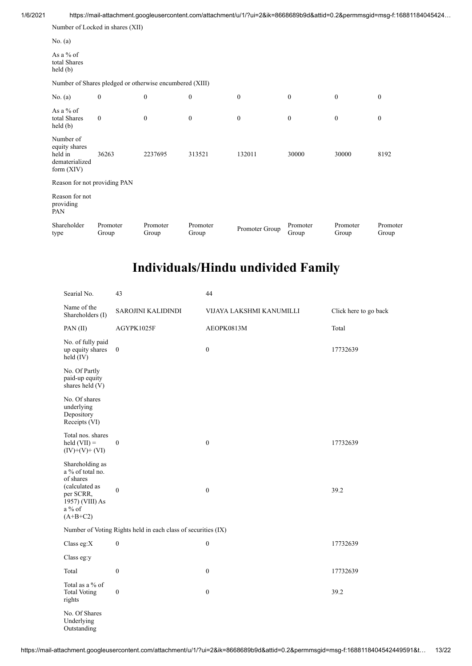|                                                                         | Number of Locked in shares (XII)                        |                   |                   |                |                   |                   |                   |
|-------------------------------------------------------------------------|---------------------------------------------------------|-------------------|-------------------|----------------|-------------------|-------------------|-------------------|
| No. $(a)$                                                               |                                                         |                   |                   |                |                   |                   |                   |
| As a % of<br>total Shares<br>$\text{held}(\text{b})$                    |                                                         |                   |                   |                |                   |                   |                   |
|                                                                         | Number of Shares pledged or otherwise encumbered (XIII) |                   |                   |                |                   |                   |                   |
| No. $(a)$                                                               | $\boldsymbol{0}$                                        | $\boldsymbol{0}$  | $\mathbf{0}$      | $\mathbf{0}$   | $\boldsymbol{0}$  | $\mathbf{0}$      | $\boldsymbol{0}$  |
| As a $%$ of<br>total Shares<br>$\text{held}(\text{b})$                  | $\mathbf{0}$                                            | $\mathbf{0}$      | $\mathbf{0}$      | $\mathbf{0}$   | $\mathbf{0}$      | $\boldsymbol{0}$  | $\mathbf{0}$      |
| Number of<br>equity shares<br>held in<br>dematerialized<br>form $(XIV)$ | 36263                                                   | 2237695           | 313521            | 132011         | 30000             | 30000             | 8192              |
| Reason for not providing PAN                                            |                                                         |                   |                   |                |                   |                   |                   |
| Reason for not<br>providing<br>PAN                                      |                                                         |                   |                   |                |                   |                   |                   |
| Shareholder<br>type                                                     | Promoter<br>Group                                       | Promoter<br>Group | Promoter<br>Group | Promoter Group | Promoter<br>Group | Promoter<br>Group | Promoter<br>Group |

| Searial No.                                                                                                                  | 43                                                            | 44                       |                       |
|------------------------------------------------------------------------------------------------------------------------------|---------------------------------------------------------------|--------------------------|-----------------------|
| Name of the<br>Shareholders (I)                                                                                              | SAROJINI KALIDINDI                                            | VIJAYA LAKSHMI KANUMILLI | Click here to go back |
| PAN(II)                                                                                                                      | AGYPK1025F                                                    | AEOPK0813M               | Total                 |
| No. of fully paid<br>up equity shares<br>held (IV)                                                                           | $\boldsymbol{0}$                                              | $\boldsymbol{0}$         | 17732639              |
| No. Of Partly<br>paid-up equity<br>shares held (V)                                                                           |                                                               |                          |                       |
| No. Of shares<br>underlying<br>Depository<br>Receipts (VI)                                                                   |                                                               |                          |                       |
| Total nos. shares<br>$\text{held (VII)} =$<br>$(IV)+(V)+(VI)$                                                                | $\boldsymbol{0}$                                              | $\boldsymbol{0}$         | 17732639              |
| Shareholding as<br>a % of total no.<br>of shares<br>(calculated as<br>per SCRR,<br>1957) (VIII) As<br>$a\%$ of<br>$(A+B+C2)$ | $\mathbf{0}$                                                  | $\mathbf{0}$             | 39.2                  |
|                                                                                                                              | Number of Voting Rights held in each class of securities (IX) |                          |                       |
| Class eg:X                                                                                                                   | $\boldsymbol{0}$                                              | $\boldsymbol{0}$         | 17732639              |
| Class eg:y                                                                                                                   |                                                               |                          |                       |
| Total                                                                                                                        | $\boldsymbol{0}$                                              | $\boldsymbol{0}$         | 17732639              |
| Total as a % of<br><b>Total Voting</b><br>rights                                                                             | $\boldsymbol{0}$                                              | $\boldsymbol{0}$         | 39.2                  |
| No. Of Shares<br>Underlying<br>Outstanding                                                                                   |                                                               |                          |                       |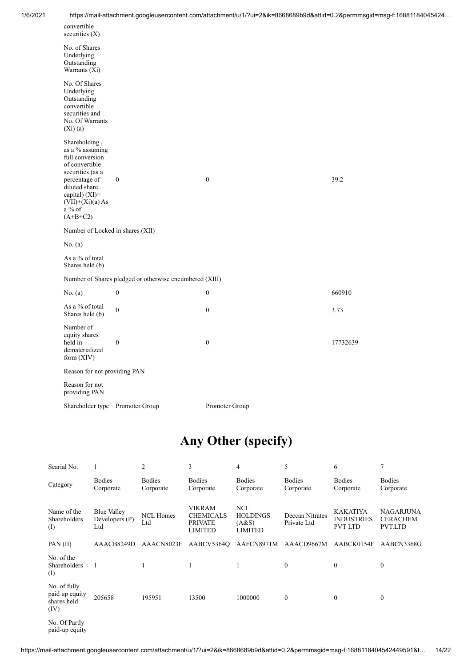| 1/6/2021 |                                                                                                                                                                                               |                  | https://mail-attachment.googleusercontent.com/attachment/u/1/?ui=2&ik=8668689b9d&attid=0.2&permmsgid=msg-f:16881184045424 |          |  |  |  |  |
|----------|-----------------------------------------------------------------------------------------------------------------------------------------------------------------------------------------------|------------------|---------------------------------------------------------------------------------------------------------------------------|----------|--|--|--|--|
|          | convertible<br>securities (X)                                                                                                                                                                 |                  |                                                                                                                           |          |  |  |  |  |
|          | No. of Shares<br>Underlying<br>Outstanding<br>Warrants $(X_i)$                                                                                                                                |                  |                                                                                                                           |          |  |  |  |  |
|          | No. Of Shares<br>Underlying<br>Outstanding<br>convertible<br>securities and<br>No. Of Warrants<br>$(Xi)$ $(a)$                                                                                |                  |                                                                                                                           |          |  |  |  |  |
|          | Shareholding,<br>as a % assuming<br>full conversion<br>of convertible<br>securities (as a<br>percentage of<br>diluted share<br>capital) (XI)=<br>$(VII)+(Xi)(a) As$<br>$a\%$ of<br>$(A+B+C2)$ | $\boldsymbol{0}$ | $\boldsymbol{0}$                                                                                                          | 39.2     |  |  |  |  |
|          | Number of Locked in shares (XII)                                                                                                                                                              |                  |                                                                                                                           |          |  |  |  |  |
|          | No. $(a)$                                                                                                                                                                                     |                  |                                                                                                                           |          |  |  |  |  |
|          | As a % of total<br>Shares held (b)                                                                                                                                                            |                  |                                                                                                                           |          |  |  |  |  |
|          | Number of Shares pledged or otherwise encumbered (XIII)                                                                                                                                       |                  |                                                                                                                           |          |  |  |  |  |
|          | No. $(a)$                                                                                                                                                                                     | $\boldsymbol{0}$ | $\boldsymbol{0}$                                                                                                          | 660910   |  |  |  |  |
|          | As a % of total<br>Shares held (b)                                                                                                                                                            | $\boldsymbol{0}$ | $\boldsymbol{0}$                                                                                                          | 3.73     |  |  |  |  |
|          | Number of<br>equity shares<br>held in<br>dematerialized<br>form (XIV)                                                                                                                         | $\boldsymbol{0}$ | $\boldsymbol{0}$                                                                                                          | 17732639 |  |  |  |  |
|          | Reason for not providing PAN                                                                                                                                                                  |                  |                                                                                                                           |          |  |  |  |  |
|          | Reason for not<br>providing PAN                                                                                                                                                               |                  |                                                                                                                           |          |  |  |  |  |
|          | Shareholder type Promoter Group                                                                                                                                                               |                  | Promoter Group                                                                                                            |          |  |  |  |  |

# **Any Other (specify)**

| Searial No.                                           |                                        | 2                          | 3                                                                     | 4                                                 | 5                              | 6                                                      | 7                                              |
|-------------------------------------------------------|----------------------------------------|----------------------------|-----------------------------------------------------------------------|---------------------------------------------------|--------------------------------|--------------------------------------------------------|------------------------------------------------|
| Category                                              | <b>Bodies</b><br>Corporate             | <b>Bodies</b><br>Corporate | <b>Bodies</b><br>Corporate                                            | <b>Bodies</b><br>Corporate                        | <b>Bodies</b><br>Corporate     | <b>Bodies</b><br>Corporate                             | <b>Bodies</b><br>Corporate                     |
| Name of the<br>Shareholders<br>(I)                    | Blue Valley<br>Developers $(P)$<br>Ltd | <b>NCL Homes</b><br>Ltd    | <b>VIKRAM</b><br><b>CHEMICALS</b><br><b>PRIVATE</b><br><b>LIMITED</b> | <b>NCL</b><br><b>HOLDINGS</b><br>(A&S)<br>LIMITED | Deccan Nitrates<br>Private Ltd | <b>KAKATIYA</b><br><b>INDUSTRIES</b><br><b>PVT LTD</b> | <b>NAGARJUNA</b><br><b>CERACHEM</b><br>PVT.LTD |
| PAN $(II)$                                            | AAACB8249D                             | AAACN8023F                 | AABCV5364Q                                                            | AAFCN8971M                                        | AAACD9667M                     | AABCK0154F                                             | AABCN3368G                                     |
| No. of the<br>Shareholders<br>(I)                     | $\overline{1}$                         |                            | 1                                                                     | 1                                                 | $\mathbf{0}$                   | $\Omega$                                               | $\theta$                                       |
| No. of fully<br>paid up equity<br>shares held<br>(IV) | 205658                                 | 195951                     | 13500                                                                 | 1000000                                           | $\mathbf{0}$                   | $\mathbf{0}$                                           | $\theta$                                       |
| $\mathbf{M}$ $\Omega$ $\mathbf{D}$ $\mathbf{M}$       |                                        |                            |                                                                       |                                                   |                                |                                                        |                                                |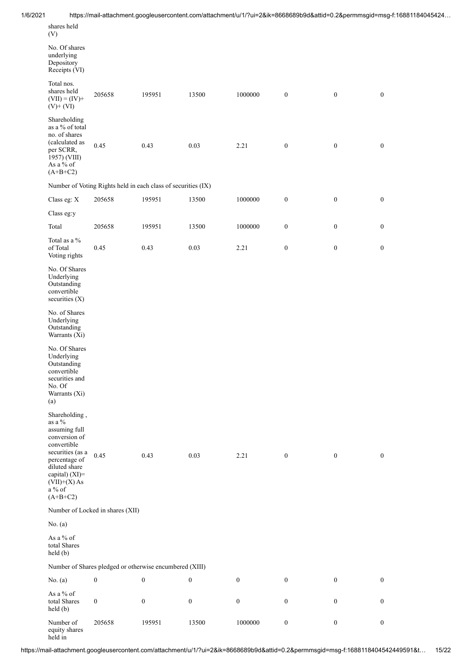| 1/6/2021 |                                                                                                                               |                                  |                                                               |                  |                  |                  |                  | https://mail-attachment.googleusercontent.com/attachment/u/1/?ui=2&ik=8668689b9d&attid=0.2&permmsgid=msg-f:16881184045424 |
|----------|-------------------------------------------------------------------------------------------------------------------------------|----------------------------------|---------------------------------------------------------------|------------------|------------------|------------------|------------------|---------------------------------------------------------------------------------------------------------------------------|
|          | shares held<br>(V)                                                                                                            |                                  |                                                               |                  |                  |                  |                  |                                                                                                                           |
|          | No. Of shares<br>underlying<br>Depository<br>Receipts (VI)                                                                    |                                  |                                                               |                  |                  |                  |                  |                                                                                                                           |
|          | Total nos.<br>shares held<br>$(VII) = (IV) +$<br>$(V)$ + $(VI)$                                                               | 205658                           | 195951                                                        | 13500            | 1000000          | $\boldsymbol{0}$ | $\boldsymbol{0}$ | $\boldsymbol{0}$                                                                                                          |
|          | Shareholding<br>as a % of total<br>no. of shares<br>(calculated as<br>per SCRR,<br>1957) (VIII)<br>As a % of<br>$(A+B+C2)$    | 0.45                             | 0.43                                                          | 0.03             | 2.21             | $\boldsymbol{0}$ | $\boldsymbol{0}$ | $\boldsymbol{0}$                                                                                                          |
|          |                                                                                                                               |                                  | Number of Voting Rights held in each class of securities (IX) |                  |                  |                  |                  |                                                                                                                           |
|          | Class eg: X                                                                                                                   | 205658                           | 195951                                                        | 13500            | 1000000          | $\boldsymbol{0}$ | $\boldsymbol{0}$ | $\boldsymbol{0}$                                                                                                          |
|          | Class eg:y                                                                                                                    |                                  |                                                               |                  |                  |                  |                  |                                                                                                                           |
|          | Total                                                                                                                         | 205658                           | 195951                                                        | 13500            | 1000000          | $\boldsymbol{0}$ | $\boldsymbol{0}$ | $\boldsymbol{0}$                                                                                                          |
|          | Total as a $\%$<br>of Total<br>Voting rights                                                                                  | 0.45                             | 0.43                                                          | 0.03             | 2.21             | $\boldsymbol{0}$ | $\boldsymbol{0}$ | $\boldsymbol{0}$                                                                                                          |
|          | No. Of Shares<br>Underlying<br>Outstanding<br>convertible<br>securities (X)                                                   |                                  |                                                               |                  |                  |                  |                  |                                                                                                                           |
|          | No. of Shares<br>Underlying<br>Outstanding<br>Warrants (Xi)                                                                   |                                  |                                                               |                  |                  |                  |                  |                                                                                                                           |
|          | No. Of Shares<br>Underlying<br>Outstanding<br>convertible<br>securities and<br>No. Of<br>Warrants (Xi)<br>(a)                 |                                  |                                                               |                  |                  |                  |                  |                                                                                                                           |
|          | Shareholding,<br>as a $\%$<br>assuming full<br>conversion of                                                                  |                                  |                                                               |                  |                  |                  |                  |                                                                                                                           |
|          | convertible<br>securities (as a<br>percentage of<br>diluted share<br>capital) (XI)=<br>$(VII)+(X)$ As<br>a % of<br>$(A+B+C2)$ | 0.45                             | 0.43                                                          | 0.03             | 2.21             | $\boldsymbol{0}$ | $\boldsymbol{0}$ | $\boldsymbol{0}$                                                                                                          |
|          |                                                                                                                               | Number of Locked in shares (XII) |                                                               |                  |                  |                  |                  |                                                                                                                           |
|          | No. (a)                                                                                                                       |                                  |                                                               |                  |                  |                  |                  |                                                                                                                           |
|          | As a $\%$ of<br>total Shares<br>held (b)                                                                                      |                                  |                                                               |                  |                  |                  |                  |                                                                                                                           |
|          |                                                                                                                               |                                  | Number of Shares pledged or otherwise encumbered (XIII)       |                  |                  |                  |                  |                                                                                                                           |
|          | No. $(a)$                                                                                                                     | $\boldsymbol{0}$                 | $\boldsymbol{0}$                                              | $\boldsymbol{0}$ | $\mathbf{0}$     | $\boldsymbol{0}$ | $\mathbf{0}$     | $\bf{0}$                                                                                                                  |
|          | As a % of<br>total Shares<br>held (b)                                                                                         | $\boldsymbol{0}$                 | $\boldsymbol{0}$                                              | $\mathbf{0}$     | $\boldsymbol{0}$ | $\boldsymbol{0}$ | $\overline{0}$   | $\mathbf{0}$                                                                                                              |
|          | Number of<br>equity shares                                                                                                    | 205658                           | 195951                                                        | 13500            | 1000000          | $\boldsymbol{0}$ | $\boldsymbol{0}$ | $\boldsymbol{0}$                                                                                                          |

held in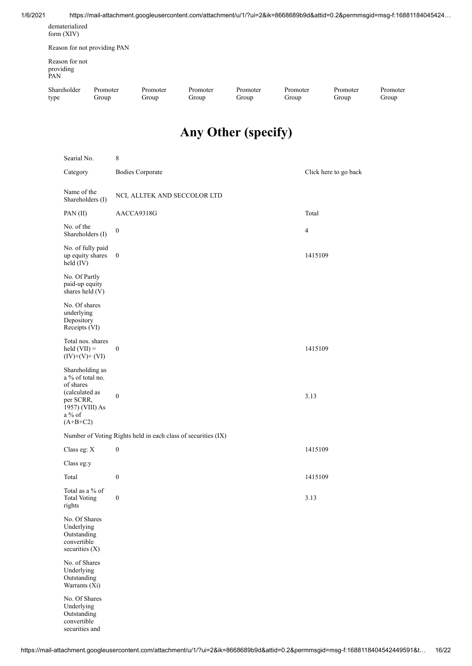#### 1/6/2021 https://mail-attachment.googleusercontent.com/attachment/u/1/?ui=2&ik=8668689b9d&attid=0.2&permmsgid=msg-f:16881184045424…

| dematerialized |  |
|----------------|--|
| form $(XIV)$   |  |

Reason for not providing PAN

Reason for not providing PAN

Shareholder type Promoter Group

Promoter Group

Promoter Group

Promoter Group

Promoter Group

Promoter Group

Promoter Group

# **Any Other (specify)**

| Searial No.                                                                                                                | $\,$ 8 $\,$                                                   |                       |
|----------------------------------------------------------------------------------------------------------------------------|---------------------------------------------------------------|-----------------------|
| Category                                                                                                                   | <b>Bodies Corporate</b>                                       | Click here to go back |
| Name of the<br>Shareholders (I)                                                                                            | NCL ALLTEK AND SECCOLOR LTD                                   |                       |
| PAN(II)                                                                                                                    | AACCA9318G                                                    | Total                 |
| No. of the<br>Shareholders (I)                                                                                             | $\boldsymbol{0}$                                              | $\overline{4}$        |
| No. of fully paid<br>up equity shares<br>held (IV)                                                                         | $\boldsymbol{0}$                                              | 1415109               |
| No. Of Partly<br>paid-up equity<br>shares held (V)                                                                         |                                                               |                       |
| No. Of shares<br>underlying<br>Depository<br>Receipts (VI)                                                                 |                                                               |                       |
| Total nos. shares<br>$\text{held (VII)} =$<br>$(IV)+(V)+(VI)$                                                              | $\boldsymbol{0}$                                              | 1415109               |
| Shareholding as<br>a % of total no.<br>of shares<br>(calculated as<br>per SCRR,<br>1957) (VIII) As<br>a % of<br>$(A+B+C2)$ | $\boldsymbol{0}$                                              | 3.13                  |
|                                                                                                                            | Number of Voting Rights held in each class of securities (IX) |                       |
| Class eg: X                                                                                                                | $\boldsymbol{0}$                                              | 1415109               |
| Class eg:y                                                                                                                 |                                                               |                       |
| Total                                                                                                                      | $\boldsymbol{0}$                                              | 1415109               |
| Total as a % of<br><b>Total Voting</b><br>rights                                                                           | $\boldsymbol{0}$                                              | 3.13                  |
| No. Of Shares<br>Underlying<br>Outstanding<br>convertible<br>securities (X)                                                |                                                               |                       |
| No. of Shares<br>Underlying<br>Outstanding<br>Warrants (Xi)                                                                |                                                               |                       |
| No. Of Shares<br>Underlying<br>Outstanding<br>convertible<br>securities and                                                |                                                               |                       |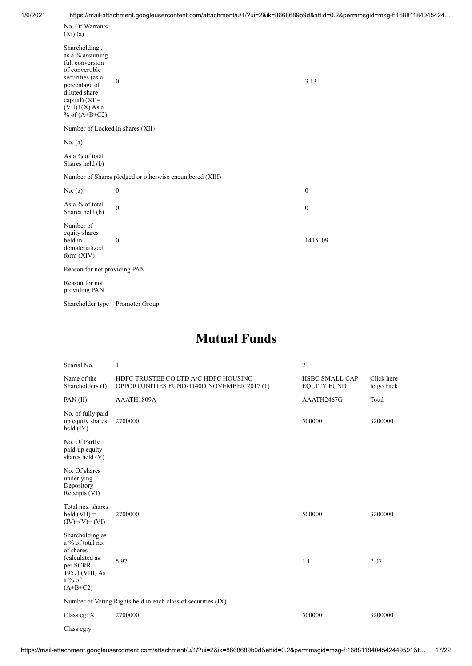| No. Of Warrants<br>$(Xi)$ (a)                                                                                                                                                             |                                                         |                  |
|-------------------------------------------------------------------------------------------------------------------------------------------------------------------------------------------|---------------------------------------------------------|------------------|
| Shareholding,<br>as a $\%$ assuming<br>full conversion<br>of convertible<br>securities (as a<br>percentage of<br>diluted share<br>capital) $(XI)=$<br>$(VII)+(X)$ As a<br>% of $(A+B+C2)$ | $\boldsymbol{0}$                                        | 3.13             |
| Number of Locked in shares (XII)                                                                                                                                                          |                                                         |                  |
| No. $(a)$                                                                                                                                                                                 |                                                         |                  |
| As a % of total<br>Shares held (b)                                                                                                                                                        |                                                         |                  |
|                                                                                                                                                                                           | Number of Shares pledged or otherwise encumbered (XIII) |                  |
| No. $(a)$                                                                                                                                                                                 | $\boldsymbol{0}$                                        | $\boldsymbol{0}$ |
| As a % of total<br>Shares held (b)                                                                                                                                                        | $\boldsymbol{0}$                                        | $\boldsymbol{0}$ |
| Number of<br>equity shares<br>held in<br>dematerialized<br>form $(XIV)$                                                                                                                   | $\boldsymbol{0}$                                        | 1415109          |
| Reason for not providing PAN                                                                                                                                                              |                                                         |                  |
| Reason for not<br>providing PAN                                                                                                                                                           |                                                         |                  |

Shareholder type Promoter Group

#### **Mutual Funds**

| Searial No.                                                                                                                     | 1                                                                                  | 2                                           |                          |
|---------------------------------------------------------------------------------------------------------------------------------|------------------------------------------------------------------------------------|---------------------------------------------|--------------------------|
| Name of the<br>Shareholders (I)                                                                                                 | HDFC TRUSTEE CO LTD A/C HDFC HOUSING<br>OPPORTUNITIES FUND-1140D NOVEMBER 2017 (1) | <b>HSBC SMALL CAP</b><br><b>EQUITY FUND</b> | Click here<br>to go back |
| PAN(II)                                                                                                                         | AAATH1809A                                                                         | AAATH2467G                                  | Total                    |
| No. of fully paid<br>up equity shares<br>held $(IV)$                                                                            | 2700000                                                                            | 500000                                      | 3200000                  |
| No. Of Partly<br>paid-up equity<br>shares held (V)                                                                              |                                                                                    |                                             |                          |
| No. Of shares<br>underlying<br>Depository<br>Receipts (VI)                                                                      |                                                                                    |                                             |                          |
| Total nos. shares<br>$\text{held (VII)} =$<br>$(IV)+(V)+(VI)$                                                                   | 2700000                                                                            | 500000                                      | 3200000                  |
| Shareholding as<br>a % of total no.<br>of shares<br>(calculated as<br>per SCRR,<br>$1957$ ) (VIII) As<br>$a\%$ of<br>$(A+B+C2)$ | 5.97                                                                               | 1.11                                        | 7.07                     |
|                                                                                                                                 | Number of Voting Rights held in each class of securities (IX)                      |                                             |                          |
| Class eg: $X$                                                                                                                   | 2700000                                                                            | 500000                                      | 3200000                  |
| Class eg:y                                                                                                                      |                                                                                    |                                             |                          |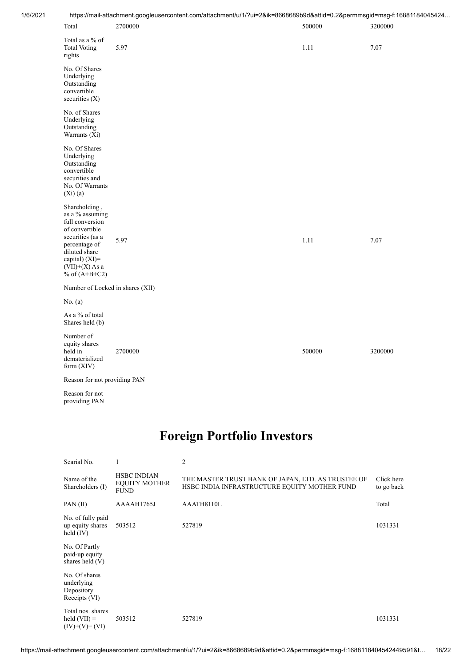| 1/6/2021 |                                                                                                                                                                                      | https://mail-attachment.googleusercontent.com/attachment/u/1/?ui=2&ik=8668689b9d&attid=0.2&permmsgid=msg-f:16881184045424 |        |         |
|----------|--------------------------------------------------------------------------------------------------------------------------------------------------------------------------------------|---------------------------------------------------------------------------------------------------------------------------|--------|---------|
|          | Total                                                                                                                                                                                | 2700000                                                                                                                   | 500000 | 3200000 |
|          | Total as a % of<br><b>Total Voting</b><br>rights                                                                                                                                     | 5.97                                                                                                                      | 1.11   | 7.07    |
|          | No. Of Shares<br>Underlying<br>Outstanding<br>convertible<br>securities (X)                                                                                                          |                                                                                                                           |        |         |
|          | No. of Shares<br>Underlying<br>Outstanding<br>Warrants (Xi)                                                                                                                          |                                                                                                                           |        |         |
|          | No. Of Shares<br>Underlying<br>Outstanding<br>convertible<br>securities and<br>No. Of Warrants<br>$(Xi)$ (a)                                                                         |                                                                                                                           |        |         |
|          | Shareholding,<br>as a % assuming<br>full conversion<br>of convertible<br>securities (as a<br>percentage of<br>diluted share<br>capital) (XI)=<br>$(VII)+(X)$ As a<br>% of $(A+B+C2)$ | 5.97                                                                                                                      | 1.11   | 7.07    |
|          | Number of Locked in shares (XII)                                                                                                                                                     |                                                                                                                           |        |         |
|          | No. $(a)$                                                                                                                                                                            |                                                                                                                           |        |         |
|          | As a % of total<br>Shares held (b)                                                                                                                                                   |                                                                                                                           |        |         |
|          | Number of<br>equity shares<br>held in<br>dematerialized<br>form (XIV)                                                                                                                | 2700000                                                                                                                   | 500000 | 3200000 |
|          | Reason for not providing PAN                                                                                                                                                         |                                                                                                                           |        |         |

Reason for not providing PAN

### **Foreign Portfolio Investors**

| Searial No.                                                |                                                           | $\overline{2}$                                                                                     |                          |
|------------------------------------------------------------|-----------------------------------------------------------|----------------------------------------------------------------------------------------------------|--------------------------|
| Name of the<br>Shareholders (I)                            | <b>HSBC INDIAN</b><br><b>EQUITY MOTHER</b><br><b>FUND</b> | THE MASTER TRUST BANK OF JAPAN, LTD. AS TRUSTEE OF<br>HSBC INDIA INFRASTRUCTURE EQUITY MOTHER FUND | Click here<br>to go back |
| PAN(II)                                                    | AAAAH1765J                                                | AAATH8110L                                                                                         | Total                    |
| No. of fully paid<br>up equity shares<br>held $(IV)$       | 503512                                                    | 527819                                                                                             | 1031331                  |
| No. Of Partly<br>paid-up equity<br>shares held (V)         |                                                           |                                                                                                    |                          |
| No. Of shares<br>underlying<br>Depository<br>Receipts (VI) |                                                           |                                                                                                    |                          |
| Total nos. shares<br>held $(VII) =$<br>$(IV)+(V)+(VI)$     | 503512                                                    | 527819                                                                                             | 1031331                  |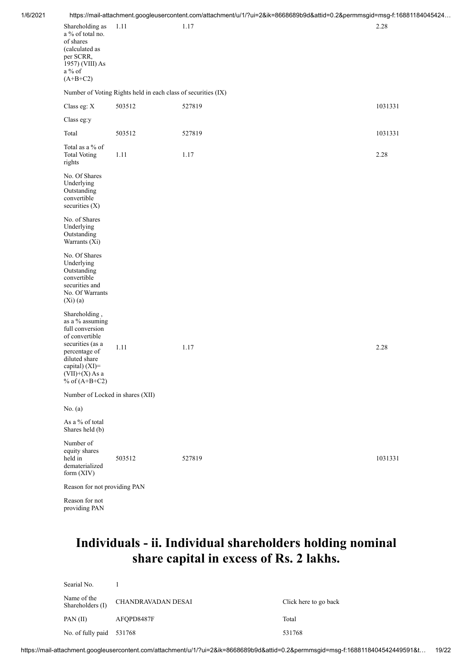| 1/6/2021 |
|----------|
|----------|

|                                                                                                                                                                                        |                                                               | ntips://mail-attachment.googleusercontent.com/attachment/u/ i/ /ul=2&ik=8668689b9d&attid=0.2&permmsgid=msg-i:168811 |         |
|----------------------------------------------------------------------------------------------------------------------------------------------------------------------------------------|---------------------------------------------------------------|---------------------------------------------------------------------------------------------------------------------|---------|
| Shareholding as<br>a % of total no.<br>of shares<br>(calculated as<br>per SCRR,<br>1957) (VIII) As<br>$a\%$ of<br>$(A+B+C2)$                                                           | 1.11                                                          | 1.17                                                                                                                | 2.28    |
|                                                                                                                                                                                        | Number of Voting Rights held in each class of securities (IX) |                                                                                                                     |         |
| Class eg: X                                                                                                                                                                            | 503512                                                        | 527819                                                                                                              | 1031331 |
| Class eg:y                                                                                                                                                                             |                                                               |                                                                                                                     |         |
| Total                                                                                                                                                                                  | 503512                                                        | 527819                                                                                                              | 1031331 |
| Total as a % of<br><b>Total Voting</b><br>rights                                                                                                                                       | 1.11                                                          | 1.17                                                                                                                | 2.28    |
| No. Of Shares<br>Underlying<br>Outstanding<br>convertible<br>securities $(X)$                                                                                                          |                                                               |                                                                                                                     |         |
| No. of Shares<br>Underlying<br>Outstanding<br>Warrants (Xi)                                                                                                                            |                                                               |                                                                                                                     |         |
| No. Of Shares<br>Underlying<br>Outstanding<br>convertible<br>securities and<br>No. Of Warrants<br>$(Xi)$ (a)                                                                           |                                                               |                                                                                                                     |         |
| Shareholding,<br>as a % assuming<br>full conversion<br>of convertible<br>securities (as a<br>percentage of<br>diluted share<br>capital) $(XI)=$<br>$(VII)+(X)$ As a<br>% of $(A+B+C2)$ | 1.11                                                          | 1.17                                                                                                                | 2.28    |
| Number of Locked in shares (XII)                                                                                                                                                       |                                                               |                                                                                                                     |         |
| No. $(a)$                                                                                                                                                                              |                                                               |                                                                                                                     |         |
| As a % of total<br>Shares held (b)                                                                                                                                                     |                                                               |                                                                                                                     |         |
| Number of<br>equity shares<br>held in<br>dematerialized<br>form (XIV)                                                                                                                  | 503512                                                        | 527819                                                                                                              | 1031331 |
| Reason for not providing PAN                                                                                                                                                           |                                                               |                                                                                                                     |         |
|                                                                                                                                                                                        |                                                               |                                                                                                                     |         |

Reason for not providing PAN

## **Individuals - ii. Individual shareholders holding nominal share capital in excess of Rs. 2 lakhs.**

| Searial No.                     |                    |                       |
|---------------------------------|--------------------|-----------------------|
| Name of the<br>Shareholders (I) | CHANDRAVADAN DESAI | Click here to go back |
| PAN(II)                         | AFOPD8487F         | Total                 |
| No. of fully paid 531768        |                    | 531768                |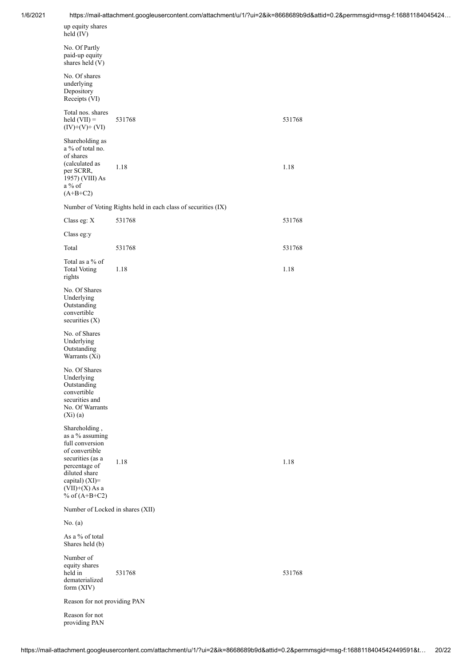| 1/6/2021 |                                                                                                                                                                                      |                                                               | https://mail-attachment.googleusercontent.com/attachment/u/1/?ui=2&ik=8668689b9d&attid=0.2&permmsgid=msg-f:16881184045424 |
|----------|--------------------------------------------------------------------------------------------------------------------------------------------------------------------------------------|---------------------------------------------------------------|---------------------------------------------------------------------------------------------------------------------------|
|          | up equity shares<br>held (IV)                                                                                                                                                        |                                                               |                                                                                                                           |
|          | No. Of Partly<br>paid-up equity<br>shares held (V)                                                                                                                                   |                                                               |                                                                                                                           |
|          | No. Of shares<br>underlying<br>Depository<br>Receipts (VI)                                                                                                                           |                                                               |                                                                                                                           |
|          | Total nos. shares<br>held $(VII) =$<br>$(IV)+(V)+(VI)$                                                                                                                               | 531768                                                        | 531768                                                                                                                    |
|          | Shareholding as<br>a % of total no.<br>of shares<br>(calculated as<br>per SCRR,<br>1957) (VIII) As<br>a % of<br>$(A+B+C2)$                                                           | 1.18                                                          | 1.18                                                                                                                      |
|          |                                                                                                                                                                                      | Number of Voting Rights held in each class of securities (IX) |                                                                                                                           |
|          | Class eg: X                                                                                                                                                                          | 531768                                                        | 531768                                                                                                                    |
|          | Class eg:y                                                                                                                                                                           |                                                               |                                                                                                                           |
|          | Total                                                                                                                                                                                | 531768                                                        | 531768                                                                                                                    |
|          | Total as a % of<br><b>Total Voting</b><br>rights                                                                                                                                     | 1.18                                                          | 1.18                                                                                                                      |
|          | No. Of Shares<br>Underlying<br>Outstanding<br>convertible<br>securities (X)                                                                                                          |                                                               |                                                                                                                           |
|          | No. of Shares<br>Underlying<br>Outstanding<br>Warrants (Xi)                                                                                                                          |                                                               |                                                                                                                           |
|          | No. Of Shares<br>Underlying<br>Outstanding<br>convertible<br>securities and<br>No. Of Warrants<br>$(Xi)$ $(a)$                                                                       |                                                               |                                                                                                                           |
|          | Shareholding,<br>as a % assuming<br>full conversion<br>of convertible<br>securities (as a<br>percentage of<br>diluted share<br>capital) (XI)=<br>$(VII)+(X)$ As a<br>% of $(A+B+C2)$ | 1.18                                                          | 1.18                                                                                                                      |
|          | Number of Locked in shares (XII)                                                                                                                                                     |                                                               |                                                                                                                           |
|          | No. $(a)$                                                                                                                                                                            |                                                               |                                                                                                                           |
|          | As a % of total<br>Shares held (b)                                                                                                                                                   |                                                               |                                                                                                                           |
|          | Number of<br>equity shares<br>held in<br>dematerialized<br>form (XIV)                                                                                                                | 531768                                                        | 531768                                                                                                                    |
|          | Reason for not providing PAN                                                                                                                                                         |                                                               |                                                                                                                           |
|          | Reason for not<br>providing PAN                                                                                                                                                      |                                                               |                                                                                                                           |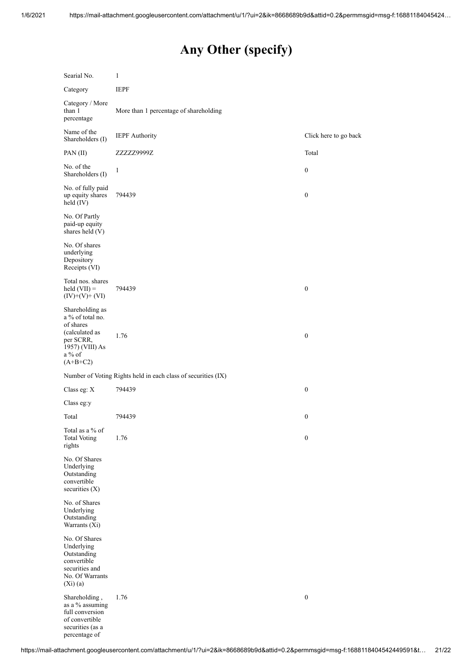# **Any Other (specify)**

| Searial No.                                                                                                                | 1                                                             |                       |
|----------------------------------------------------------------------------------------------------------------------------|---------------------------------------------------------------|-----------------------|
| Category                                                                                                                   | <b>IEPF</b>                                                   |                       |
| Category / More<br>than 1<br>percentage                                                                                    | More than 1 percentage of shareholding                        |                       |
| Name of the<br>Shareholders (I)                                                                                            | <b>IEPF</b> Authority                                         | Click here to go back |
| PAN(II)                                                                                                                    | ZZZZZ9999Z                                                    | Total                 |
| No. of the<br>Shareholders (I)                                                                                             | 1                                                             | $\boldsymbol{0}$      |
| No. of fully paid<br>up equity shares<br>held $(IV)$                                                                       | 794439                                                        | $\boldsymbol{0}$      |
| No. Of Partly<br>paid-up equity<br>shares held (V)                                                                         |                                                               |                       |
| No. Of shares<br>underlying<br>Depository<br>Receipts (VI)                                                                 |                                                               |                       |
| Total nos. shares<br>$\text{held (VII)} =$<br>$(IV)+(V)+(VI)$                                                              | 794439                                                        | $\boldsymbol{0}$      |
| Shareholding as<br>a % of total no.<br>of shares<br>(calculated as<br>per SCRR,<br>1957) (VIII) As<br>a % of<br>$(A+B+C2)$ | 1.76                                                          | $\boldsymbol{0}$      |
|                                                                                                                            | Number of Voting Rights held in each class of securities (IX) |                       |
| Class eg: X                                                                                                                | 794439                                                        | $\boldsymbol{0}$      |
| Class eg:y                                                                                                                 |                                                               |                       |
| Total                                                                                                                      | 794439                                                        | $\boldsymbol{0}$      |
| Total as a $\%$ of<br><b>Total Voting</b><br>rights                                                                        | 1.76                                                          | $\boldsymbol{0}$      |
| No. Of Shares<br>Underlying<br>Outstanding<br>convertible<br>securities (X)                                                |                                                               |                       |
| No. of Shares<br>Underlying<br>Outstanding<br>Warrants (Xi)                                                                |                                                               |                       |
| No. Of Shares<br>Underlying<br>Outstanding<br>convertible<br>securities and<br>No. Of Warrants<br>$(Xi)$ (a)               |                                                               |                       |
| Shareholding,<br>as a % assuming<br>full conversion<br>of convertible<br>securities (as a<br>percentage of                 | 1.76                                                          | $\boldsymbol{0}$      |